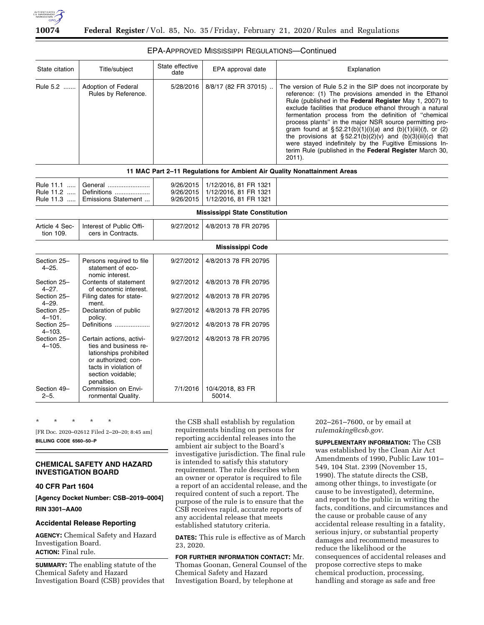

# EPA-APPROVED MISSISSIPPI REGULATIONS—Continued

| State citation                      | Title/subject                                                                                                                                                  | State effective<br>date             | EPA approval date                                                       | Explanation                                                                                                                                                                                                                                                                                                                                                                                                                                                                                                                                                                                                                               |
|-------------------------------------|----------------------------------------------------------------------------------------------------------------------------------------------------------------|-------------------------------------|-------------------------------------------------------------------------|-------------------------------------------------------------------------------------------------------------------------------------------------------------------------------------------------------------------------------------------------------------------------------------------------------------------------------------------------------------------------------------------------------------------------------------------------------------------------------------------------------------------------------------------------------------------------------------------------------------------------------------------|
| Rule 5.2                            | Adoption of Federal<br>Rules by Reference.                                                                                                                     | 5/28/2016                           | 8/8/17 (82 FR 37015)                                                    | The version of Rule 5.2 in the SIP does not incorporate by<br>reference: (1) The provisions amended in the Ethanol<br>Rule (published in the Federal Register May 1, 2007) to<br>exclude facilities that produce ethanol through a natural<br>fermentation process from the definition of "chemical<br>process plants" in the major NSR source permitting pro-<br>gram found at $\S 52.21(b)(1)(i)(a)$ and $(b)(1)(iii)(t)$ , or (2)<br>the provisions at $\S 52.21(b)(2)(v)$ and $(b)(3)(iii)(c)$ that<br>were stayed indefinitely by the Fugitive Emissions In-<br>terim Rule (published in the Federal Register March 30,<br>$2011$ ). |
|                                     |                                                                                                                                                                |                                     |                                                                         | 11 MAC Part 2-11 Regulations for Ambient Air Quality Nonattainment Areas                                                                                                                                                                                                                                                                                                                                                                                                                                                                                                                                                                  |
| Rule 11.1<br>Rule 11.2<br>Rule 11.3 | General<br>Definitions<br>Emissions Statement                                                                                                                  | 9/26/2015<br>9/26/2015<br>9/26/2015 | 1/12/2016, 81 FR 1321<br>1/12/2016, 81 FR 1321<br>1/12/2016, 81 FR 1321 |                                                                                                                                                                                                                                                                                                                                                                                                                                                                                                                                                                                                                                           |
|                                     |                                                                                                                                                                |                                     | <b>Mississippi State Constitution</b>                                   |                                                                                                                                                                                                                                                                                                                                                                                                                                                                                                                                                                                                                                           |
| Article 4 Sec-<br>tion 109.         | Interest of Public Offi-<br>cers in Contracts.                                                                                                                 | 9/27/2012                           | 4/8/2013 78 FR 20795                                                    |                                                                                                                                                                                                                                                                                                                                                                                                                                                                                                                                                                                                                                           |
|                                     |                                                                                                                                                                |                                     | <b>Mississippi Code</b>                                                 |                                                                                                                                                                                                                                                                                                                                                                                                                                                                                                                                                                                                                                           |
| Section 25-<br>$4 - 25.$            | Persons required to file<br>statement of eco-<br>nomic interest.                                                                                               | 9/27/2012                           | 4/8/2013 78 FR 20795                                                    |                                                                                                                                                                                                                                                                                                                                                                                                                                                                                                                                                                                                                                           |
| Section 25-<br>$4 - 27.$            | Contents of statement<br>of economic interest.                                                                                                                 | 9/27/2012                           | 4/8/2013 78 FR 20795                                                    |                                                                                                                                                                                                                                                                                                                                                                                                                                                                                                                                                                                                                                           |
| Section 25-<br>4–29.                | Filing dates for state-<br>ment.                                                                                                                               | 9/27/2012                           | 4/8/2013 78 FR 20795                                                    |                                                                                                                                                                                                                                                                                                                                                                                                                                                                                                                                                                                                                                           |
| Section 25-<br>$4 - 101.$           | Declaration of public<br>policy.                                                                                                                               | 9/27/2012                           | 4/8/2013 78 FR 20795                                                    |                                                                                                                                                                                                                                                                                                                                                                                                                                                                                                                                                                                                                                           |
| Section 25-<br>$4 - 103.$           | Definitions                                                                                                                                                    | 9/27/2012                           | 4/8/2013 78 FR 20795                                                    |                                                                                                                                                                                                                                                                                                                                                                                                                                                                                                                                                                                                                                           |
| Section 25-<br>$4 - 105.$           | Certain actions, activi-<br>ties and business re-<br>lationships prohibited<br>or authorized: con-<br>tacts in violation of<br>section voidable;<br>penalties. | 9/27/2012                           | 4/8/2013 78 FR 20795                                                    |                                                                                                                                                                                                                                                                                                                                                                                                                                                                                                                                                                                                                                           |
| Section 49-<br>$2 - 5$ .            | Commission on Envi-<br>ronmental Quality.                                                                                                                      | 7/1/2016                            | 10/4/2018, 83 FR<br>50014.                                              |                                                                                                                                                                                                                                                                                                                                                                                                                                                                                                                                                                                                                                           |

\* \* \* \* \*

[FR Doc. 2020–02612 Filed 2–20–20; 8:45 am] **BILLING CODE 6560–50–P** 

# **CHEMICAL SAFETY AND HAZARD INVESTIGATION BOARD**

# **40 CFR Part 1604**

**[Agency Docket Number: CSB–2019–0004]** 

**RIN 3301–AA00** 

# **Accidental Release Reporting**

**AGENCY:** Chemical Safety and Hazard Investigation Board. **ACTION:** Final rule.

**SUMMARY:** The enabling statute of the Chemical Safety and Hazard Investigation Board (CSB) provides that the CSB shall establish by regulation requirements binding on persons for reporting accidental releases into the ambient air subject to the Board's investigative jurisdiction. The final rule is intended to satisfy this statutory requirement. The rule describes when an owner or operator is required to file a report of an accidental release, and the required content of such a report. The purpose of the rule is to ensure that the CSB receives rapid, accurate reports of any accidental release that meets established statutory criteria.

**DATES:** This rule is effective as of March 23, 2020.

**FOR FURTHER INFORMATION CONTACT:** Mr. Thomas Goonan, General Counsel of the Chemical Safety and Hazard Investigation Board, by telephone at

202–261–7600, or by email at *rulemaking@csb.gov.* 

**SUPPLEMENTARY INFORMATION:** The CSB was established by the Clean Air Act Amendments of 1990, Public Law 101– 549, 104 Stat. 2399 (November 15, 1990). The statute directs the CSB, among other things, to investigate (or cause to be investigated), determine, and report to the public in writing the facts, conditions, and circumstances and the cause or probable cause of any accidental release resulting in a fatality, serious injury, or substantial property damages and recommend measures to reduce the likelihood or the consequences of accidental releases and propose corrective steps to make chemical production, processing, handling and storage as safe and free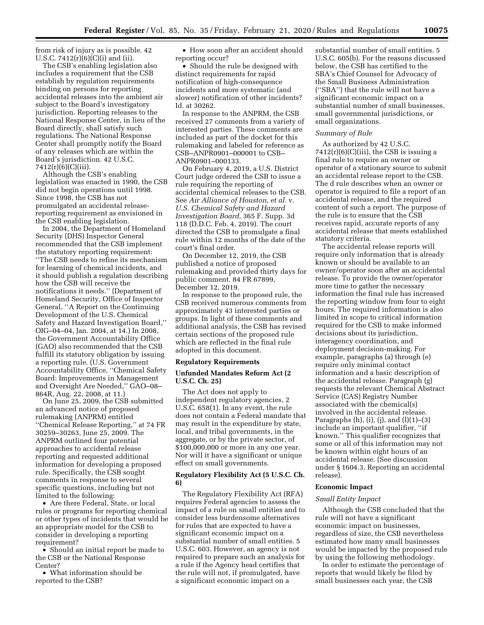from risk of injury as is possible. 42 U.S.C.  $7412(r)(6)(C)(i)$  and (ii).

The CSB's enabling legislation also includes a requirement that the CSB establish by regulation requirements binding on persons for reporting accidental releases into the ambient air subject to the Board's investigatory jurisdiction. Reporting releases to the National Response Center, in lieu of the Board directly, shall satisfy such regulations. The National Response Center shall promptly notify the Board of any releases which are within the Board's jurisdiction. 42 U.S.C. 7412(r)(6)(C)(iii).

Although the CSB's enabling legislation was enacted in 1990, the CSB did not begin operations until 1998. Since 1998, the CSB has not promulgated an accidental releasereporting requirement as envisioned in the CSB enabling legislation.

In 2004, the Department of Homeland Security (DHS) Inspector General recommended that the CSB implement the statutory reporting requirement: ''The CSB needs to refine its mechanism for learning of chemical incidents, and it should publish a regulation describing how the CSB will receive the notifications it needs.'' (Department of Homeland Security, Office of Inspector General, ''A Report on the Continuing Development of the U.S. Chemical Safety and Hazard Investigation Board,'' OIG–04–04, Jan. 2004, at 14.) In 2008, the Government Accountability Office (GAO) also recommended that the CSB fulfill its statutory obligation by issuing a reporting rule. (U.S. Government Accountability Office, ''Chemical Safety Board: Improvements in Management and Oversight Are Needed,'' GAO–08– 864R, Aug. 22, 2008, at 11.)

On June 25, 2009, the CSB submitted an advanced notice of proposed rulemaking (ANPRM) entitled ''Chemical Release Reporting,'' at 74 FR 30259–30263, June 25, 2009. The ANPRM outlined four potential approaches to accidental release reporting and requested additional information for developing a proposed rule. Specifically, the CSB sought comments in response to several specific questions, including but not limited to the following:

• Are there Federal, State, or local rules or programs for reporting chemical or other types of incidents that would be an appropriate model for the CSB to consider in developing a reporting requirement?

• Should an initial report be made to the CSB or the National Response Center?

• What information should be reported to the CSB?

• How soon after an accident should reporting occur?

• Should the rule be designed with distinct requirements for rapid notification of high-consequence incidents and more systematic (and slower) notification of other incidents? Id. at 30262.

In response to the ANPRM, the CSB received 27 comments from a variety of interested parties. These comments are included as part of the docket for this rulemaking and labeled for reference as CSB–ANPR0901–000001 to CSB– ANPR0901–000133.

On February 4, 2019, a U.S. District Court judge ordered the CSB to issue a rule requiring the reporting of accidental chemical releases to the CSB. See *Air Alliance of Houston, et al.* v. *U.S. Chemical Safety and Hazard Investigation Board,* 365 F. Supp. 3d 118 (D.D.C. Feb. 4, 2019). The court directed the CSB to promulgate a final rule within 12 months of the date of the court's final order.

On December 12, 2019, the CSB published a notice of proposed rulemaking and provided thirty days for public comment. 84 FR 67899, December 12, 2019.

In response to the proposed rule, the CSB received numerous comments from approximately 43 interested parties or groups. In light of these comments and additional analysis, the CSB has revised certain sections of the proposed rule which are reflected in the final rule adopted in this document.

## **Regulatory Requirements**

## **Unfunded Mandates Reform Act (2 U.S.C. Ch. 25)**

The Act does not apply to independent regulatory agencies, 2 U.S.C. 658(1). In any event, the rule does not contain a Federal mandate that may result in the expenditure by state, local, and tribal governments, in the aggregate, or by the private sector, of \$100,000,000 or more in any one year. Nor will it have a significant or unique effect on small governments.

## **Regulatory Flexibility Act (5 U.S.C. Ch. 6)**

The Regulatory Flexibility Act (RFA) requires Federal agencies to assess the impact of a rule on small entities and to consider less burdensome alternatives for rules that are expected to have a significant economic impact on a substantial number of small entities. 5 U.S.C. 603. However, an agency is not required to prepare such an analysis for a rule if the Agency head certifies that the rule will not, if promulgated, have a significant economic impact on a

substantial number of small entities. 5 U.S.C. 605(b). For the reasons discussed below, the CSB has certified to the SBA's Chief Counsel for Advocacy of the Small Business Administration (''SBA'') that the rule will not have a significant economic impact on a substantial number of small businesses, small governmental jurisdictions, or small organizations.

## *Summary of Rule*

As authorized by 42 U.S.C.  $7412(r)(6)(C)(iii)$ , the CSB is issuing a final rule to require an owner or operator of a stationary source to submit an accidental release report to the CSB. The d rule describes when an owner or operator is required to file a report of an accidental release, and the required content of such a report. The purpose of the rule is to ensure that the CSB receives rapid, accurate reports of any accidental release that meets established statutory criteria.

The accidental release reports will require only information that is already known or should be available to an owner/operator soon after an accidental release. To provide the owner/operator more time to gather the necessary information the final rule has increased the reporting window from four to eight hours. The required information is also limited in scope to critical information required for the CSB to make informed decisions about its jurisdiction, interagency coordination, and deployment decision-making. For example, paragraphs (a) through (e) require only minimal contact information and a basic description of the accidental release. Paragraph (g) requests the relevant Chemical Abstract Service (CAS) Registry Number associated with the chemical(s) involved in the accidental release. Paragraphs (h), (i), (j), and  $(l)(1)$ – $(3)$ include an important qualifier, ''if known.'' This qualifier recognizes that some or all of this information may not be known within eight hours of an accidental release. (See discussion under § 1604.3, Reporting an accidental release).

## **Economic Impact**

## *Small Entity Impact*

Although the CSB concluded that the rule will not have a significant economic impact on businesses, regardless of size, the CSB nevertheless estimated how many small businesses would be impacted by the proposed rule by using the following methodology.

In order to estimate the percentage of reports that would likely be filed by small businesses each year, the CSB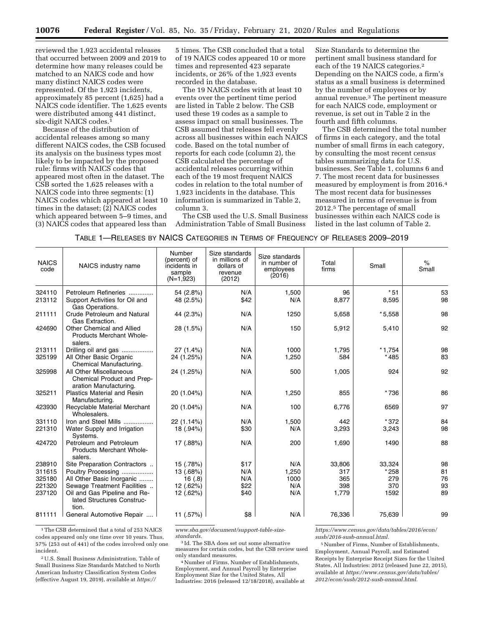reviewed the 1,923 accidental releases that occurred between 2009 and 2019 to determine how many releases could be matched to an NAICS code and how many distinct NAICS codes were represented. Of the 1,923 incidents, approximately 85 percent (1,625) had a NAICS code identifier. The 1,625 events were distributed among 441 distinct, six-digit NAICS codes.1

Because of the distribution of accidental releases among so many different NAICS codes, the CSB focused its analysis on the business types most likely to be impacted by the proposed rule: firms with NAICS codes that appeared most often in the dataset. The CSB sorted the 1,625 releases with a NAICS code into three segments: (1) NAICS codes which appeared at least 10 times in the dataset; (2) NAICS codes which appeared between 5–9 times, and (3) NAICS codes that appeared less than

5 times. The CSB concluded that a total of 19 NAICS codes appeared 10 or more times and represented 423 separate incidents, or 26% of the 1,923 events recorded in the database.

The 19 NAICS codes with at least 10 events over the pertinent time period are listed in Table 2 below. The CSB used these 19 codes as a sample to assess impact on small businesses. The CSB assumed that releases fell evenly across all businesses within each NAICS code. Based on the total number of reports for each code (column 2), the CSB calculated the percentage of accidental releases occurring within each of the 19 most frequent NAICS codes in relation to the total number of 1,923 incidents in the database. This information is summarized in Table 2, column 3.

The CSB used the U.S. Small Business Administration Table of Small Business

Size Standards to determine the pertinent small business standard for each of the 19 NAICS categories.2 Depending on the NAICS code, a firm's status as a small business is determined by the number of employees or by annual revenue.3 The pertinent measure for each NAICS code, employment or revenue, is set out in Table 2 in the fourth and fifth columns.

The CSB determined the total number of firms in each category, and the total number of small firms in each category, by consulting the most recent census tables summarizing data for U.S. businesses. See Table 1, columns 6 and 7. The most recent data for businesses measured by employment is from 2016.4 The most recent data for businesses measured in terms of revenue is from 2012.5 The percentage of small businesses within each NAICS code is listed in the last column of Table 2.

| TABLE 1—RELEASES BY NAICS CATEGORIES IN TERMS OF FREQUENCY OF RELEASES 2009—2019 |
|----------------------------------------------------------------------------------|
|                                                                                  |

| <b>NAICS</b><br>code | NAICS industry name                                                             | Number<br>(percent) of<br>incidents in<br>sample<br>$(N=1,923)$ | Size standards<br>in millions of<br>dollars of<br>revenue<br>(2012) | Size standards<br>in number of<br>employees<br>(2016) | Total<br>firms | Small    | $\%$<br>Small |
|----------------------|---------------------------------------------------------------------------------|-----------------------------------------------------------------|---------------------------------------------------------------------|-------------------------------------------------------|----------------|----------|---------------|
| 324110               | Petroleum Refineries                                                            | 54 (2.8%)                                                       | N/A                                                                 | 1,500                                                 | 96             | $*51$    | 53            |
| 213112               | Support Activities for Oil and<br>Gas Operations.                               | 48 (2.5%)                                                       | \$42                                                                | N/A                                                   | 8,877          | 8,595    | 98            |
| 211111               | <b>Crude Petroleum and Natural</b><br>Gas Extraction.                           | 44 (2.3%)                                                       | N/A                                                                 | 1250                                                  | 5,658          | $*5,558$ | 98            |
| 424690               | Other Chemical and Allied<br>Products Merchant Whole-<br>salers.                | 28 (1.5%)                                                       | N/A                                                                 | 150                                                   | 5,912          | 5,410    | 92            |
| 213111               | Drilling oil and gas                                                            | $27(1.4\%)$                                                     | N/A                                                                 | 1000                                                  | 1.795          | $*1,754$ | 98            |
| 325199               | All Other Basic Organic<br>Chemical Manufacturing.                              | 24 (1.25%)                                                      | N/A                                                                 | 1,250                                                 | 584            | $*485$   | 83            |
| 325998               | All Other Miscellaneous<br>Chemical Product and Prep-<br>aration Manufacturing. | 24 (1.25%)                                                      | N/A                                                                 | 500                                                   | 1,005          | 924      | 92            |
| 325211               | <b>Plastics Material and Resin</b><br>Manufacturing.                            | 20 (1.04%)                                                      | N/A                                                                 | 1,250                                                 | 855            | *736     | 86            |
| 423930               | Recyclable Material Merchant<br>Wholesalers.                                    | 20 (1.04%)                                                      | N/A                                                                 | 100                                                   | 6,776          | 6569     | 97            |
| 331110               | Iron and Steel Mills                                                            | 22 (1.14%)                                                      | N/A                                                                 | 1,500                                                 | 442            | *372     | 84            |
| 221310               | Water Supply and Irrigation<br>Systems.                                         | 18 (.94%)                                                       | \$30                                                                | N/A                                                   | 3,293          | 3,243    | 98            |
| 424720               | Petroleum and Petroleum<br><b>Products Merchant Whole-</b><br>salers.           | 17 (.88%)                                                       | N/A                                                                 | 200                                                   | 1,690          | 1490     | 88            |
| 238910               | Site Preparation Contractors                                                    | 15 (.78%)                                                       | \$17                                                                | N/A                                                   | 33,806         | 33,324   | 98            |
| 311615               | Poultry Processing                                                              | 13 (.68%)                                                       | N/A                                                                 | 1,250                                                 | 317            | $*258$   | 81            |
| 325180               | All Other Basic Inorganic                                                       | 16(.8)                                                          | N/A                                                                 | 1000                                                  | 365            | 279      | 76            |
| 221320               | Sewage Treatment Facilities                                                     | 12 (.62%)                                                       | \$22                                                                | N/A                                                   | 398            | 370      | 93            |
| 237120               | Oil and Gas Pipeline and Re-<br>lated Structures Construc-<br>tion.             | 12 (.62%)                                                       | \$40                                                                | N/A                                                   | 1,779          | 1592     | 89            |
| 811111               | General Automotive Repair                                                       | 11 (.57%)                                                       | \$8                                                                 | N/A                                                   | 76,336         | 75,639   | 99            |
|                      |                                                                                 |                                                                 |                                                                     |                                                       |                |          |               |

<sup>1</sup>The CSB determined that a total of 253 NAICS codes appeared only one time over 10 years. Thus, 57% (253 out of 441) of the codes involved only one incident.

2U.S. Small Business Administration, Table of Small Business Size Standards Matched to North American Industry Classification System Codes (effective August 19, 2019), available at *https://*

*www.sba.gov/document/support-table-sizestandards.* 

3 Id. The SBA does set out some alternative measures for certain codes, but the CSB review used only standard measures.

4Number of Firms, Number of Establishments, Employment, and Annual Payroll by Enterprise Employment Size for the United States, All Industries: 2016 (released 12/18/2018), available at *https://www.census.gov/data/tables/2016/econ/ susb/2016-susb-annual.html.* 

5Number of Firms, Number of Establishments, Employment, Annual Payroll, and Estimated Receipts by Enterprise Receipt Sizes for the United States, All Industries: 2012 (released June 22, 2015), available at *https://www.census.gov/data/tables/ 2012/econ/susb/2012-susb-annual.html.*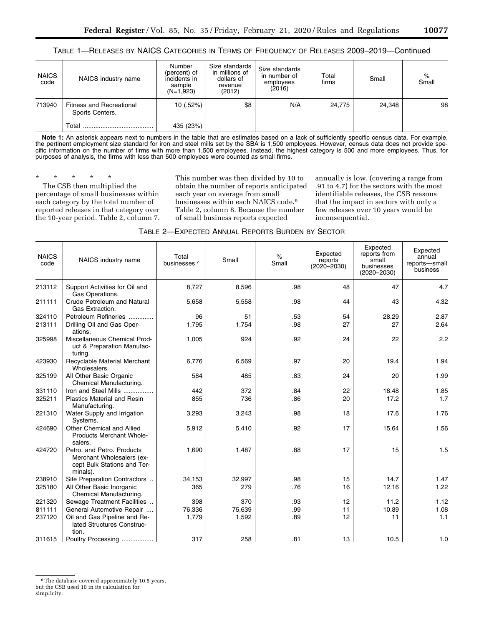TABLE 1—RELEASES BY NAICS CATEGORIES IN TERMS OF FREQUENCY OF RELEASES 2009–2019—Continued

| <b>NAICS</b><br>code | NAICS industry name                                | Number<br>(percent) of<br>incidents in<br>sample<br>$(N=1,923)$ | Size standards<br>in millions of<br>dollars of<br>revenue<br>(2012) | Size standards<br>in number of<br>employees<br>(2016) | Total<br>firms | Small  | $\%$<br>Small |
|----------------------|----------------------------------------------------|-----------------------------------------------------------------|---------------------------------------------------------------------|-------------------------------------------------------|----------------|--------|---------------|
| 713940               | <b>Fitness and Recreational</b><br>Sports Centers. | 10 (.52%)                                                       | \$8                                                                 | N/A                                                   | 24.775         | 24.348 | 98            |
|                      | Total                                              | 435 (23%)                                                       |                                                                     |                                                       |                |        |               |

Note 1: An asterisk appears next to numbers in the table that are estimates based on a lack of sufficiently specific census data. For example, the pertinent employment size standard for iron and steel mills set by the SBA is 1,500 employees. However, census data does not provide specific information on the number of firms with more than 1,500 employees. Instead, the highest category is 500 and more employees. Thus, for purposes of analysis, the firms with less than 500 employees were counted as small firms.

\* \* \* \* \*

The CSB then multiplied the percentage of small businesses within each category by the total number of reported releases in that category over the 10-year period. Table 2, column 7.

This number was then divided by 10 to obtain the number of reports anticipated each year on average from small businesses within each NAICS code.6 Table 2, column 8. Because the number of small business reports expected

annually is low, (covering a range from .91 to 4.7) for the sectors with the most identifiable releases, the CSB reasons that the impact in sectors with only a few releases over 10 years would be inconsequential.

| TABLE 2—EXPECTED ANNUAL REPORTS BURDEN BY SECTOR |
|--------------------------------------------------|
|--------------------------------------------------|

| <b>NAICS</b><br>code | NAICS industry name                                                                                | Total<br>businesses <sup>7</sup> | Small  | $\%$<br>Small | Expected<br>reports<br>$(2020 - 2030)$ | Expected<br>reports from<br>small<br>businesses<br>$(2020 - 2030)$ | Expected<br>annual<br>reports-small<br>business |
|----------------------|----------------------------------------------------------------------------------------------------|----------------------------------|--------|---------------|----------------------------------------|--------------------------------------------------------------------|-------------------------------------------------|
| 213112               | Support Activities for Oil and<br>Gas Operations.                                                  | 8,727                            | 8,596  | .98           | 48                                     | 47                                                                 | 4.7                                             |
| 211111               | Crude Petroleum and Natural<br>Gas Extraction.                                                     | 5,658                            | 5,558  | .98           | 44                                     | 43                                                                 | 4.32                                            |
| 324110               | Petroleum Refineries                                                                               | 96                               | 51     | .53           | 54                                     | 28.29                                                              | 2.87                                            |
| 213111               | Drilling Oil and Gas Oper-<br>ations.                                                              | 1,795                            | 1,754  | .98           | 27                                     | 27                                                                 | 2.64                                            |
| 325998               | Miscellaneous Chemical Prod-<br>uct & Preparation Manufac-<br>turing.                              | 1,005                            | 924    | .92           | 24                                     | 22                                                                 | 2.2                                             |
| 423930               | Recyclable Material Merchant<br>Wholesalers.                                                       | 6,776                            | 6,569  | .97           | 20                                     | 19.4                                                               | 1.94                                            |
| 325199               | All Other Basic Organic<br>Chemical Manufacturing.                                                 | 584                              | 485    | .83           | 24                                     | 20                                                                 | 1.99                                            |
| 331110               | Iron and Steel Mills                                                                               | 442                              | 372    | .84           | 22                                     | 18.48                                                              | 1.85                                            |
| 325211               | <b>Plastics Material and Resin</b><br>Manufacturing.                                               | 855                              | 736    | .86           | 20                                     | 17.2                                                               | 1.7                                             |
| 221310               | Water Supply and Irrigation<br>Systems.                                                            | 3,293                            | 3,243  | .98           | 18                                     | 17.6                                                               | 1.76                                            |
| 424690               | Other Chemical and Allied<br>Products Merchant Whole-<br>salers.                                   | 5,912                            | 5,410  | .92           | 17                                     | 15.64                                                              | 1.56                                            |
| 424720               | Petro, and Petro, Products<br>Merchant Wholesalers (ex-<br>cept Bulk Stations and Ter-<br>minals). | 1,690                            | 1,487  | .88           | 17                                     | 15                                                                 | 1.5                                             |
| 238910               | Site Preparation Contractors                                                                       | 34,153                           | 32,997 | .98           | 15                                     | 14.7                                                               | 1.47                                            |
| 325180               | All Other Basic Inorganic<br>Chemical Manufacturing.                                               | 365                              | 279    | .76           | 16                                     | 12.16                                                              | 1.22                                            |
| 221320               | Sewage Treatment Facilities                                                                        | 398                              | 370    | .93           | 12                                     | 11.2                                                               | 1.12                                            |
| 811111               | General Automotive Repair                                                                          | 76,336                           | 75,639 | .99           | 11                                     | 10.89                                                              | 1.08                                            |
| 237120               | Oil and Gas Pipeline and Re-<br>lated Structures Construc-<br>tion.                                | 1,779                            | 1,592  | .89           | 12                                     | 11                                                                 | 1.1                                             |
| 311615               | Poultry Processing                                                                                 | 317                              | 258    | .81           | 13                                     | 10.5                                                               | 1.0                                             |

<sup>&</sup>lt;sup>6</sup>The database covered approximately 10.5 years, but the CSB used 10 in its calculation for

simplicity.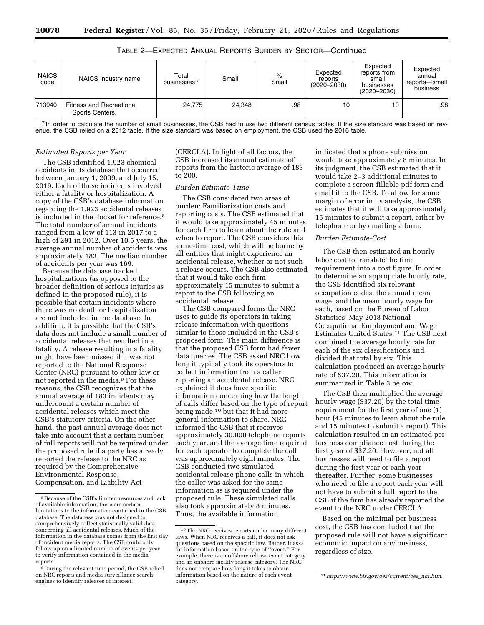| <b>NAICS</b><br>code | NAICS industry name                                | Total<br><b>businesses</b> | Small  | $\%$<br>Small | Expected<br>reports<br>$(2020 - 2030)$ | Expected<br>reports from<br>small<br>businesses<br>$(2020 - 2030)$ | Expected<br>annual<br>reports-small<br>business |
|----------------------|----------------------------------------------------|----------------------------|--------|---------------|----------------------------------------|--------------------------------------------------------------------|-------------------------------------------------|
| 713940               | <b>Fitness and Recreational</b><br>Sports Centers. | 24.775                     | 24.348 | .98           | 10                                     | 10                                                                 | .98                                             |

TABLE 2—EXPECTED ANNUAL REPORTS BURDEN BY SECTOR—Continued

<sup>7</sup> In order to calculate the number of small businesses, the CSB had to use two different census tables. If the size standard was based on revenue, the CSB relied on a 2012 table. If the size standard was based on employment, the CSB used the 2016 table.

## *Estimated Reports per Year*

The CSB identified 1,923 chemical accidents in its database that occurred between January 1, 2009, and July 15, 2019. Each of these incidents involved either a fatality or hospitalization. A copy of the CSB's database information regarding the 1,923 accidental releases is included in the docket for reference.8 The total number of annual incidents ranged from a low of 113 in 2017 to a high of 291 in 2012. Over 10.5 years, the average annual number of accidents was approximately 183. The median number of accidents per year was 169.

Because the database tracked hospitalizations (as opposed to the broader definition of serious injuries as defined in the proposed rule), it is possible that certain incidents where there was no death or hospitalization are not included in the database. In addition, it is possible that the CSB's data does not include a small number of accidental releases that resulted in a fatality. A release resulting in a fatality might have been missed if it was not reported to the National Response Center (NRC) pursuant to other law or not reported in the media.<sup>9</sup> For these reasons, the CSB recognizes that the annual average of 183 incidents may undercount a certain number of accidental releases which meet the CSB's statutory criteria. On the other hand, the past annual average does not take into account that a certain number of full reports will not be required under the proposed rule if a party has already reported the release to the NRC as required by the Comprehensive Environmental Response, Compensation, and Liability Act

(CERCLA). In light of all factors, the CSB increased its annual estimate of reports from the historic average of 183 to 200.

## *Burden Estimate-Time*

The CSB considered two areas of burden: Familiarization costs and reporting costs. The CSB estimated that it would take approximately 45 minutes for each firm to learn about the rule and when to report. The CSB considers this a one-time cost, which will be borne by all entities that might experience an accidental release, whether or not such a release occurs. The CSB also estimated that it would take each firm approximately 15 minutes to submit a report to the CSB following an accidental release.

The CSB compared forms the NRC uses to guide its operators in taking release information with questions similar to those included in the CSB's proposed form. The main difference is that the proposed CSB form had fewer data queries. The CSB asked NRC how long it typically took its operators to collect information from a caller reporting an accidental release. NRC explained it does have specific information concerning how the length of calls differ based on the type of report being made,10 but that it had more general information to share. NRC informed the CSB that it receives approximately 30,000 telephone reports each year, and the average time required for each operator to complete the call was approximately eight minutes. The CSB conducted two simulated accidental release phone calls in which the caller was asked for the same information as is required under the proposed rule. These simulated calls also took approximately 8 minutes. Thus, the available information

indicated that a phone submission would take approximately 8 minutes. In its judgment, the CSB estimated that it would take 2–3 additional minutes to complete a screen-fillable pdf form and email it to the CSB. To allow for some margin of error in its analysis, the CSB estimates that it will take approximately 15 minutes to submit a report, either by telephone or by emailing a form.

# *Burden Estimate-Cost*

The CSB then estimated an hourly labor cost to translate the time requirement into a cost figure. In order to determine an appropriate hourly rate, the CSB identified six relevant occupation codes, the annual mean wage, and the mean hourly wage for each, based on the Bureau of Labor Statistics' May 2018 National Occupational Employment and Wage Estimates United States.11 The CSB next combined the average hourly rate for each of the six classifications and divided that total by six. This calculation produced an average hourly rate of \$37.20. This information is summarized in Table 3 below.

The CSB then multiplied the average hourly wage (\$37.20) by the total time requirement for the first year of one (1) hour (45 minutes to learn about the rule and 15 minutes to submit a report). This calculation resulted in an estimated perbusiness compliance cost during the first year of \$37.20. However, not all businesses will need to file a report during the first year or each year thereafter. Further, some businesses who need to file a report each year will not have to submit a full report to the CSB if the firm has already reported the event to the NRC under CERCLA.

Based on the minimal per business cost, the CSB has concluded that the proposed rule will not have a significant economic impact on any business, regardless of size.

<sup>8</sup>Because of the CSB's limited resources and lack of available information, there are certain limitations to the information contained in the CSB database. The database was not designed to comprehensively collect statistically valid data concerning all accidental releases. Much of the information in the database comes from the first day of incident media reports. The CSB could only follow up on a limited number of events per year to verify information contained in the media reports.

<sup>&</sup>lt;sup>9</sup> During the relevant time period, the CSB relied on NRC reports and media surveillance search engines to identify releases of interest.

<sup>10</sup>The NRC receives reports under many different laws. When NRC receives a call, it does not ask questions based on the specific law. Rather, it asks for information based on the type of ''event.'' For example, there is an offshore release event category and an onshore facility release category. The NRC does not compare how long it takes to obtain information based on the nature of each event category.

<sup>11</sup>*https://www.bls.gov/oes/current/oes*\_*nat.htm*.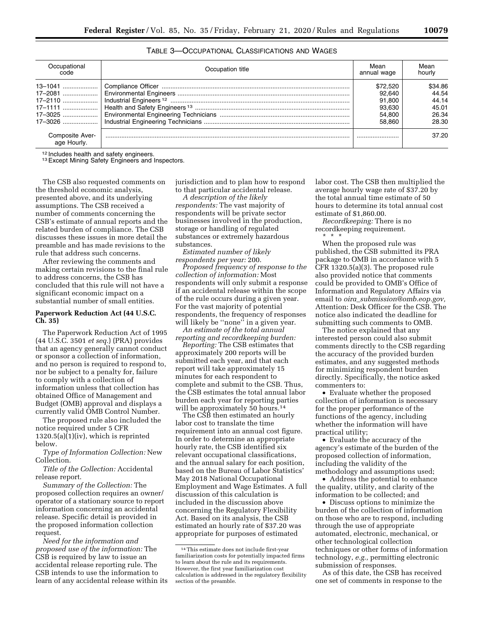| Occupational<br>code           | Occupation title | Mean<br>annual wage | Mean<br>hourly |
|--------------------------------|------------------|---------------------|----------------|
|                                |                  |                     |                |
| 13–1041                        |                  | \$72,520            | \$34.86        |
|                                |                  | 92.640              | 44.54          |
|                                |                  | 91.800              | 44.14          |
|                                |                  | 93.630              | 45.01          |
|                                |                  | 54.800              | 26.34          |
| 17-3026                        |                  | 58.860              | 28.30          |
| Composite Aver-<br>age Hourly. |                  |                     | 37.20          |

TABLE 3—OCCUPATIONAL CLASSIFICATIONS AND WAGES

<sup>12</sup> Includes health and safety engineers.<br><sup>13</sup> Except Mining Safety Engineers and Inspectors.

The CSB also requested comments on the threshold economic analysis, presented above, and its underlying assumptions. The CSB received a number of comments concerning the CSB's estimate of annual reports and the related burden of compliance. The CSB discusses these issues in more detail the preamble and has made revisions to the rule that address such concerns.

After reviewing the comments and making certain revisions to the final rule to address concerns, the CSB has concluded that this rule will not have a significant economic impact on a substantial number of small entities.

# **Paperwork Reduction Act (44 U.S.C. Ch. 35)**

The Paperwork Reduction Act of 1995 (44 U.S.C. 3501 *et seq.*) (PRA) provides that an agency generally cannot conduct or sponsor a collection of information, and no person is required to respond to, nor be subject to a penalty for, failure to comply with a collection of information unless that collection has obtained Office of Management and Budget (OMB) approval and displays a currently valid OMB Control Number.

The proposed rule also included the notice required under 5 CFR 1320.5(a)(1)(iv), which is reprinted below.

*Type of Information Collection:* New Collection.

*Title of the Collection:* Accidental release report.

*Summary of the Collection:* The proposed collection requires an owner/ operator of a stationary source to report information concerning an accidental release. Specific detail is provided in the proposed information collection request.

*Need for the information and proposed use of the information:* The CSB is required by law to issue an accidental release reporting rule. The CSB intends to use the information to learn of any accidental release within its jurisdiction and to plan how to respond to that particular accidental release.

*A description of the likely respondents:* The vast majority of respondents will be private sector businesses involved in the production, storage or handling of regulated substances or extremely hazardous substances.

*Estimated number of likely respondents per year:* 200.

*Proposed frequency of response to the collection of information:* Most respondents will only submit a response if an accidental release within the scope of the rule occurs during a given year. For the vast majority of potential respondents, the frequency of responses will likely be "none" in a given year.

*An estimate of the total annual reporting and recordkeeping burden:* 

*Reporting:* The CSB estimates that approximately 200 reports will be submitted each year, and that each report will take approximately 15 minutes for each respondent to complete and submit to the CSB. Thus, the CSB estimates the total annual labor burden each year for reporting parties will be approximately 50 hours.<sup>14</sup>

The CSB then estimated an hourly labor cost to translate the time requirement into an annual cost figure. In order to determine an appropriate hourly rate, the CSB identified six relevant occupational classifications, and the annual salary for each position, based on the Bureau of Labor Statistics' May 2018 National Occupational Employment and Wage Estimates. A full discussion of this calculation is included in the discussion above concerning the Regulatory Flexibility Act. Based on its analysis, the CSB estimated an hourly rate of \$37.20 was appropriate for purposes of estimated

labor cost. The CSB then multiplied the average hourly wage rate of \$37.20 by the total annual time estimate of 50 hours to determine its total annual cost estimate of \$1,860.00.

*Recordkeeping:* There is no recordkeeping requirement. \* \* \*

When the proposed rule was published, the CSB submitted its PRA package to OMB in accordance with 5 CFR 1320.5(a)(3). The proposed rule also provided notice that comments could be provided to OMB's Office of Information and Regulatory Affairs via email to *oira*\_*submission@omb.eop.gov,*  Attention: Desk Officer for the CSB. The notice also indicated the deadline for submitting such comments to OMB.

The notice explained that any interested person could also submit comments directly to the CSB regarding the accuracy of the provided burden estimates, and any suggested methods for minimizing respondent burden directly. Specifically, the notice asked commenters to:

• Evaluate whether the proposed collection of information is necessary for the proper performance of the functions of the agency, including whether the information will have practical utility;

• Evaluate the accuracy of the agency's estimate of the burden of the proposed collection of information, including the validity of the methodology and assumptions used;

• Address the potential to enhance the quality, utility, and clarity of the information to be collected; and

• Discuss options to minimize the burden of the collection of information on those who are to respond, including through the use of appropriate automated, electronic, mechanical, or other technological collection techniques or other forms of information technology, *e.g.,* permitting electronic submission of responses.

As of this date, the CSB has received one set of comments in response to the

<sup>14</sup>This estimate does not include first-year familiarization costs for potentially impacted firms to learn about the rule and its requirements. However, the first year familiarization cost calculation is addressed in the regulatory flexibility section of the preamble.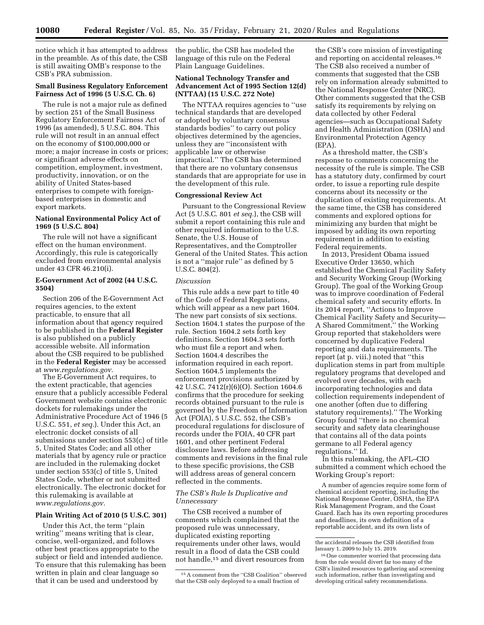notice which it has attempted to address in the preamble. As of this date, the CSB is still awaiting OMB's response to the CSB's PRA submission.

# **Small Business Regulatory Enforcement Fairness Act of 1996 (5 U.S.C. Ch. 6)**

The rule is not a major rule as defined by section 251 of the Small Business Regulatory Enforcement Fairness Act of 1996 (as amended), 5 U.S.C. 804. This rule will not result in an annual effect on the economy of \$100,000,000 or more; a major increase in costs or prices; or significant adverse effects on competition, employment, investment, productivity, innovation, or on the ability of United States-based enterprises to compete with foreignbased enterprises in domestic and export markets.

# **National Environmental Policy Act of 1969 (5 U.S.C. 804)**

The rule will not have a significant effect on the human environment. Accordingly, this rule is categorically excluded from environmental analysis under 43 CFR 46.210(i).

# **E-Government Act of 2002 (44 U.S.C. 3504)**

Section 206 of the E-Government Act requires agencies, to the extent practicable, to ensure that all information about that agency required to be published in the **Federal Register**  is also published on a publicly accessible website. All information about the CSB required to be published in the **Federal Register** may be accessed at *www.regulations.gov.* 

The E-Government Act requires, to the extent practicable, that agencies ensure that a publicly accessible Federal Government website contains electronic dockets for rulemakings under the Administrative Procedure Act of 1946 (5 U.S.C. 551, *et seq.*). Under this Act, an electronic docket consists of all submissions under section 553(c) of title 5, United States Code; and all other materials that by agency rule or practice are included in the rulemaking docket under section 553(c) of title 5, United States Code, whether or not submitted electronically. The electronic docket for this rulemaking is available at *www.regulations.gov.* 

## **Plain Writing Act of 2010 (5 U.S.C. 301)**

Under this Act, the term ''plain writing'' means writing that is clear, concise, well-organized, and follows other best practices appropriate to the subject or field and intended audience. To ensure that this rulemaking has been written in plain and clear language so that it can be used and understood by

the public, the CSB has modeled the language of this rule on the Federal Plain Language Guidelines.

# **National Technology Transfer and Advancement Act of 1995 Section 12(d) (NTTAA) (15 U.S.C. 272 Note)**

The NTTAA requires agencies to ''use technical standards that are developed or adopted by voluntary consensus standards bodies'' to carry out policy objectives determined by the agencies, unless they are ''inconsistent with applicable law or otherwise impractical.'' The CSB has determined that there are no voluntary consensus standards that are appropriate for use in the development of this rule.

# **Congressional Review Act**

Pursuant to the Congressional Review Act (5 U.S.C. 801 *et seq.*), the CSB will submit a report containing this rule and other required information to the U.S. Senate, the U.S. House of Representatives, and the Comptroller General of the United States. This action is not a ''major rule'' as defined by 5 U.S.C. 804(2).

## *Discussion*

This rule adds a new part to title 40 of the Code of Federal Regulations, which will appear as a new part 1604. The new part consists of six sections. Section 1604.1 states the purpose of the rule. Section 1604.2 sets forth key definitions. Section 1604.3 sets forth who must file a report and when. Section 1604.4 describes the information required in each report. Section 1604.5 implements the enforcement provisions authorized by 42 U.S.C. 7412(r)(6)(O). Section 1604.6 confirms that the procedure for seeking records obtained pursuant to the rule is governed by the Freedom of Information Act (FOIA), 5 U.S.C. 552, the CSB's procedural regulations for disclosure of records under the FOIA, 40 CFR part 1601, and other pertinent Federal disclosure laws. Before addressing comments and revisions in the final rule to these specific provisions, the CSB will address areas of general concern reflected in the comments.

# *The CSB's Rule Is Duplicative and Unnecessary*

The CSB received a number of comments which complained that the proposed rule was unnecessary, duplicated existing reporting requirements under other laws, would result in a flood of data the CSB could not handle,15 and divert resources from

the CSB's core mission of investigating and reporting on accidental releases.16 The CSB also received a number of comments that suggested that the CSB rely on information already submitted to the National Response Center (NRC). Other comments suggested that the CSB satisfy its requirements by relying on data collected by other Federal agencies—such as Occupational Safety and Health Administration (OSHA) and Environmental Protection Agency (EPA).

As a threshold matter, the CSB's response to comments concerning the necessity of the rule is simple. The CSB has a statutory duty, confirmed by court order, to issue a reporting rule despite concerns about its necessity or the duplication of existing requirements. At the same time, the CSB has considered comments and explored options for minimizing any burden that might be imposed by adding its own reporting requirement in addition to existing Federal requirements.

In 2013, President Obama issued Executive Order 13650, which established the Chemical Facility Safety and Security Working Group (Working Group). The goal of the Working Group was to improve coordination of Federal chemical safety and security efforts. In its 2014 report, ''Actions to Improve Chemical Facility Safety and Security— A Shared Commitment,'' the Working Group reported that stakeholders were concerned by duplicative Federal reporting and data requirements. The report (at p. viii.) noted that ''this duplication stems in part from multiple regulatory programs that developed and evolved over decades, with each incorporating technologies and data collection requirements independent of one another (often due to differing statutory requirements).'' The Working Group found ''there is no chemical security and safety data clearinghouse that contains all of the data points germane to all Federal agency regulations.'' Id.

In this rulemaking, the AFL–CIO submitted a comment which echoed the Working Group's report:

A number of agencies require some form of chemical accident reporting, including the National Response Center, OSHA, the EPA Risk Management Program, and the Coast Guard. Each has its own reporting procedures and deadlines, its own definition of a reportable accident, and its own lists of

<sup>15</sup>A comment from the ''CSB Coalition'' observed that the CSB only deployed to a small fraction of

the accidental releases the CSB identified from January 1, 2009 to July 15, 2019.

<sup>16</sup>One commenter worried that processing data from the rule would divert far too many of the CSB's limited resources to gathering and screening such information, rather than investigating and developing critical safety recommendations.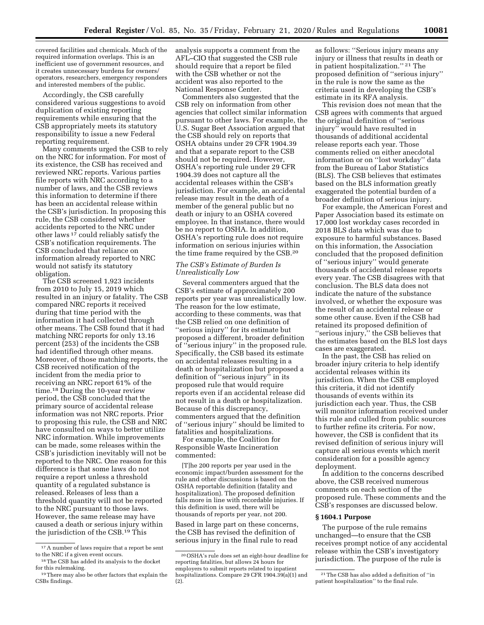covered facilities and chemicals. Much of the required information overlaps. This is an inefficient use of government resources, and it creates unnecessary burdens for owners/ operators, researchers, emergency responders and interested members of the public.

Accordingly, the CSB carefully considered various suggestions to avoid duplication of existing reporting requirements while ensuring that the CSB appropriately meets its statutory responsibility to issue a new Federal reporting requirement.

Many comments urged the CSB to rely on the NRC for information. For most of its existence, the CSB has received and reviewed NRC reports. Various parties file reports with NRC according to a number of laws, and the CSB reviews this information to determine if there has been an accidental release within the CSB's jurisdiction. In proposing this rule, the CSB considered whether accidents reported to the NRC under other laws 17 could reliably satisfy the CSB's notification requirements. The CSB concluded that reliance on information already reported to NRC would not satisfy its statutory obligation.

The CSB screened 1,923 incidents from 2010 to July 15, 2019 which resulted in an injury or fatality. The CSB compared NRC reports it received during that time period with the information it had collected through other means. The CSB found that it had matching NRC reports for only 13.16 percent (253) of the incidents the CSB had identified through other means. Moreover, of those matching reports, the CSB received notification of the incident from the media prior to receiving an NRC report 61% of the time.18 During the 10-year review period, the CSB concluded that the primary source of accidental release information was not NRC reports. Prior to proposing this rule, the CSB and NRC have consulted on ways to better utilize NRC information. While improvements can be made, some releases within the CSB's jurisdiction inevitably will not be reported to the NRC. One reason for this difference is that some laws do not require a report unless a threshold quantity of a regulated substance is released. Releases of less than a threshold quantity will not be reported to the NRC pursuant to those laws. However, the same release may have caused a death or serious injury within the jurisdiction of the CSB.<sup>19</sup> This

analysis supports a comment from the AFL–CIO that suggested the CSB rule should require that a report be filed with the CSB whether or not the accident was also reported to the National Response Center.

Commenters also suggested that the CSB rely on information from other agencies that collect similar information pursuant to other laws. For example, the U.S. Sugar Beet Association argued that the CSB should rely on reports that OSHA obtains under 29 CFR 1904.39 and that a separate report to the CSB should not be required. However, OSHA's reporting rule under 29 CFR 1904.39 does not capture all the accidental releases within the CSB's jurisdiction. For example, an accidental release may result in the death of a member of the general public but no death or injury to an OSHA covered employee. In that instance, there would be no report to OSHA. In addition, OSHA's reporting rule does not require information on serious injuries within the time frame required by the CSB.20

## *The CSB's Estimate of Burden Is Unrealistically Low*

Several commenters argued that the CSB's estimate of approximately 200 reports per year was unrealistically low. The reason for the low estimate, according to these comments, was that the CSB relied on one definition of ''serious injury'' for its estimate but proposed a different, broader definition of ''serious injury'' in the proposed rule. Specifically, the CSB based its estimate on accidental releases resulting in a death or hospitalization but proposed a definition of ''serious injury'' in its proposed rule that would require reports even if an accidental release did not result in a death or hospitalization. Because of this discrepancy, commenters argued that the definition of ''serious injury'' should be limited to fatalities and hospitalizations.

For example, the Coalition for Responsible Waste Incineration commented:

[T]he 200 reports per year used in the economic impact/burden assessment for the rule and other discussions is based on the OSHA reportable definition (fatality and hospitalization). The proposed definition falls more in line with recordable injuries. If this definition is used, there will be thousands of reports per year, not 200.

Based in large part on these concerns, the CSB has revised the definition of serious injury in the final rule to read

as follows: ''Serious injury means any injury or illness that results in death or in patient hospitalization.'' 21 The proposed definition of ''serious injury'' in the rule is now the same as the criteria used in developing the CSB's estimate in its RFA analysis.

This revision does not mean that the CSB agrees with comments that argued the original definition of ''serious injury'' would have resulted in thousands of additional accidental release reports each year. Those comments relied on either anecdotal information or on ''lost workday'' data from the Bureau of Labor Statistics (BLS). The CSB believes that estimates based on the BLS information greatly exaggerated the potential burden of a broader definition of serious injury.

For example, the American Forest and Paper Association based its estimate on 17,000 lost workday cases recorded in 2018 BLS data which was due to exposure to harmful substances. Based on this information, the Association concluded that the proposed definition of ''serious injury'' would generate thousands of accidental release reports every year. The CSB disagrees with that conclusion. The BLS data does not indicate the nature of the substance involved, or whether the exposure was the result of an accidental release or some other cause. Even if the CSB had retained its proposed definition of ''serious injury,'' the CSB believes that the estimates based on the BLS lost days cases are exaggerated.

In the past, the CSB has relied on broader injury criteria to help identify accidental releases within its jurisdiction. When the CSB employed this criteria, it did not identify thousands of events within its jurisdiction each year. Thus, the CSB will monitor information received under this rule and culled from public sources to further refine its criteria. For now, however, the CSB is confident that its revised definition of serious injury will capture all serious events which merit consideration for a possible agency deployment.

In addition to the concerns described above, the CSB received numerous comments on each section of the proposed rule. These comments and the CSB's responses are discussed below.

## **§ 1604.1 Purpose**

The purpose of the rule remains unchanged—to ensure that the CSB receives prompt notice of any accidental release within the CSB's investigatory jurisdiction. The purpose of the rule is

<sup>17</sup>A number of laws require that a report be sent to the NRC if a given event occurs.

<sup>18</sup>The CSB has added its analysis to the docket for this rulemaking.

<sup>19</sup>There may also be other factors that explain the CSBs findings.

<sup>20</sup>OSHA's rule does set an eight-hour deadline for reporting fatalities, but allows 24 hours for employers to submit reports related to inpatient hospitalizations. Compare 29 CFR 1904.39(a)(1) and (2).

<sup>21</sup>The CSB has also added a definition of ''in patient hospitalization'' to the final rule.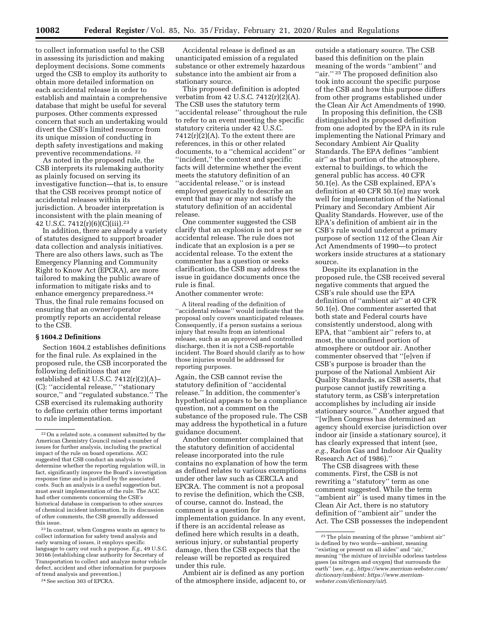to collect information useful to the CSB in assessing its jurisdiction and making deployment decisions. Some comments urged the CSB to employ its authority to obtain more detailed information on each accidental release in order to establish and maintain a comprehensive database that might be useful for several purposes. Other comments expressed concern that such an undertaking would divert the CSB's limited resource from its unique mission of conducting in depth safety investigations and making preventive recommendations. 22

As noted in the proposed rule, the CSB interprets its rulemaking authority as plainly focused on serving its investigative function—that is, to ensure that the CSB receives prompt notice of accidental releases within its jurisdiction. A broader interpretation is inconsistent with the plain meaning of 42 U.S.C. 7412 $(r)(6)(C)(iii)$ .<sup>23</sup>

In addition, there are already a variety of statutes designed to support broader data collection and analysis initiatives. There are also others laws, such as The Emergency Planning and Community Right to Know Act (EPCRA), are more tailored to making the public aware of information to mitigate risks and to enhance emergency preparedness.24 Thus, the final rule remains focused on ensuring that an owner/operator promptly reports an accidental release to the CSB.

# **§ 1604.2 Definitions**

Section 1604.2 establishes definitions for the final rule. As explained in the proposed rule, the CSB incorporated the following definitions that are established at 42 U.S.C. 7412(r)(2)(A)– (C): ''accidental release,'' ''stationary source," and "regulated substance." The CSB exercised its rulemaking authority to define certain other terms important to rule implementation.

23 In contrast, when Congress wants an agency to collect information for safety trend analysis and early warning of issues, it employs specific language to carry out such a purpose. *E.g.,* 49 U.S.C. 30166 (establishing clear authority for Secretary of Transportation to collect and analyze motor vehicle defect, accident and other information for purposes of trend analysis and prevention.)

24See section 303 of EPCRA.

Accidental release is defined as an unanticipated emission of a regulated substance or other extremely hazardous substance into the ambient air from a stationary source.

This proposed definition is adopted verbatim from 42 U.S.C. 7412(r)(2)(A). The CSB uses the statutory term ''accidental release'' throughout the rule to refer to an event meeting the specific statutory criteria under 42 U.S.C.  $7412(r)(2)(A)$ . To the extent there are references, in this or other related documents, to a ''chemical accident'' or ''incident,'' the context and specific facts will determine whether the event meets the statutory definition of an ''accidental release,'' or is instead employed generically to describe an event that may or may not satisfy the statutory definition of an accidental release.

One commenter suggested the CSB clarify that an explosion is not a per se accidental release. The rule does not indicate that an explosion is a per se accidental release. To the extent the commenter has a question or seeks clarification, the CSB may address the issue in guidance documents once the rule is final.

Another commenter wrote:

A literal reading of the definition of ''accidental release'' would indicate that the proposal only covers unanticipated releases. Consequently, if a person sustains a serious injury that results from an intentional release, such as an approved and controlled discharge, then it is not a CSB-reportable incident. The Board should clarify as to how those injuries would be addressed for reporting purposes.

Again, the CSB cannot revise the statutory definition of ''accidental release.'' In addition, the commenter's hypothetical appears to be a compliance question, not a comment on the substance of the proposed rule. The CSB may address the hypothetical in a future guidance document.

Another commenter complained that the statutory definition of accidental release incorporated into the rule contains no explanation of how the term as defined relates to various exemptions under other law such as CERCLA and EPCRA. The comment is not a proposal to revise the definition, which the CSB, of course, cannot do. Instead, the comment is a question for implementation guidance. In any event, if there is an accidental release as defined here which results in a death, serious injury, or substantial property damage, then the CSB expects that the release will be reported as required under this rule.

Ambient air is defined as any portion of the atmosphere inside, adjacent to, or

outside a stationary source. The CSB based this definition on the plain meaning of the words ''ambient'' and "air."<sup>25</sup> The proposed definition also took into account the specific purpose of the CSB and how this purpose differs from other programs established under the Clean Air Act Amendments of 1990.

In proposing this definition, the CSB distinguished its proposed definition from one adopted by the EPA in its rule implementing the National Primary and Secondary Ambient Air Quality Standards. The EPA defines ''ambient air'' as that portion of the atmosphere, external to buildings, to which the general public has access. 40 CFR 50.1(e). As the CSB explained, EPA's definition at 40 CFR 50.1(e) may work well for implementation of the National Primary and Secondary Ambient Air Quality Standards. However, use of the EPA's definition of ambient air in the CSB's rule would undercut a primary purpose of section 112 of the Clean Air Act Amendments of 1990—to protect workers inside structures at a stationary source.

Despite its explanation in the proposed rule, the CSB received several negative comments that argued the CSB's rule should use the EPA definition of ''ambient air'' at 40 CFR 50.1(e). One commenter asserted that both state and Federal courts have consistently understood, along with EPA, that ''ambient air'' refers to, at most, the unconfined portion of atmosphere or outdoor air. Another commenter observed that ''[e]ven if CSB's purpose is broader than the purpose of the National Ambient Air Quality Standards, as CSB asserts, that purpose cannot justify rewriting a statutory term, as CSB's interpretation accomplishes by including air inside stationary source.'' Another argued that ''[w]hen Congress has determined an agency should exercise jurisdiction over indoor air (inside a stationary source), it has clearly expressed that intent (see, *e.g.,* Radon Gas and Indoor Air Quality Research Act of 1986).''

The CSB disagrees with these comments. First, the CSB is not rewriting a ''statutory'' term as one comment suggested. While the term ''ambient air'' is used many times in the Clean Air Act, there is no statutory definition of ''ambient air'' under the Act. The CSB possesses the independent

<sup>22</sup>On a related note, a comment submitted by the American Chemistry Council raised a number of issues for further analysis, including the practical impact of the rule on board operations. ACC suggested that CSB conduct an analysis to determine whether the reporting regulation will, in fact, significantly improve the Board's investigation response time and is justified by the associated costs. Such an analysis is a useful suggestion but, must await implementation of the rule. The ACC had other comments concerning the CSB's historical database in comparison to other sources of chemical incident information. In its discussion of other comments, the CSB generally addressed this issue.

<sup>25</sup>The plain meaning of the phrase ''ambient air'' is defined by two words—ambient, meaning "existing or present on all sides" and "air," meaning ''the mixture of invisible odorless tasteless gases (as nitrogen and oxygen) that surrounds the earth'' (see, *e.g., https://www.merriam-webster.com/ dictionary/ambient; https://www.merriamwebster.com/dictionary/air*).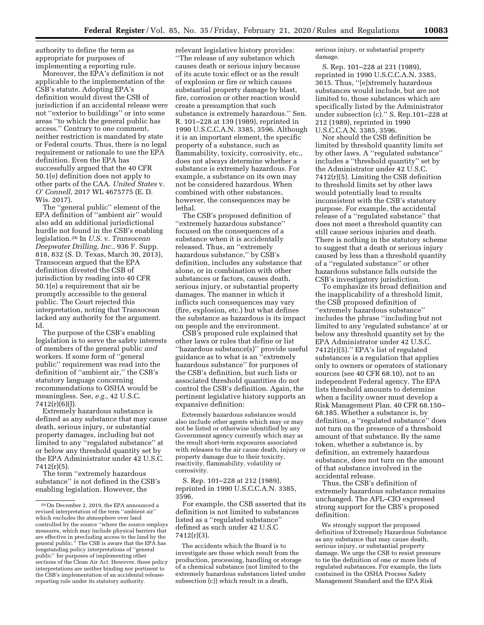authority to define the term as appropriate for purposes of implementing a reporting rule.

Moreover, the EPA's definition is not applicable to the implementation of the CSB's statute. Adopting EPA's definition would divest the CSB of jurisdiction if an accidental release were not ''exterior to buildings'' or into some areas ''to which the general public has access.'' Contrary to one comment, neither restriction is mandated by state or Federal courts. Thus, there is no legal requirement or rationale to use the EPA definition. Even the EPA has successfully argued that the 40 CFR 50.1(e) definition does not apply to other parts of the CAA. *United States* v. *O' Connell*, 2017 WL 4675775 (E. D. Wis. 2017).

The ''general public'' element of the EPA definition of ''ambient air'' would also add an additional jurisdictional hurdle not found in the CSB's enabling legislation.26 In *U.S.* v. *Transocean Deepwater Drilling, Inc.,* 936 F. Supp. 818, 832 (S. D. Texas, March 30, 2013), Transocean argued that the EPA definition divested the CSB of jurisdiction by reading into 40 CFR 50.1(e) a requirement that air be promptly accessible to the general public. The Court rejected this interpretation, noting that Transocean lacked any authority for the argument. Id.

The purpose of the CSB's enabling legislation is to serve the safety interests of members of the general public *and*  workers. If some form of ''general public'' requirement was read into the definition of ''ambient air,'' the CSB's statutory language concerning recommendations to OSHA would be meaningless. See, *e.g.,* 42 U.S.C. 7412(r)(6)(J).

Extremely hazardous substance is defined as any substance that may cause death, serious injury, or substantial property damages, including but not limited to any ''regulated substance'' at or below any threshold quantity set by the EPA Administrator under 42 U.S.C. 7412(r)(5).

The term ''extremely hazardous substance'' is not defined in the CSB's enabling legislation. However, the

relevant legislative history provides: ''The release of any substance which causes death or serious injury because of its acute toxic effect or as the result of explosion or fire or which causes substantial property damage by blast, fire, corrosion or other reaction would create a presumption that such substance is extremely hazardous.'' Sen. R. 101–228 at 139 (1989), reprinted in 1990 U.S.C.C.A.N. 3385, 3596. Although it is an important element, the specific property of a substance, such as flammability, toxicity, corrosivity, etc., does not always determine whether a substance is extremely hazardous. For example, a substance on its own may not be considered hazardous. When combined with other substances, however, the consequences may be lethal.

The CSB's proposed definition of ''extremely hazardous substance'' focused on the consequences of a substance when it is accidentally released. Thus, an ''extremely hazardous substance,'' by CSB's definition, includes any substance that alone, or in combination with other substances or factors, causes death, serious injury, or substantial property damages. The manner in which it inflicts such consequences may vary (fire, explosion, etc.) but what defines the substance as hazardous is its impact on people and the environment.

CSB's proposed rule explained that other laws or rules that define or list ''hazardous substance(s)'' provide useful guidance as to what is an ''extremely hazardous substance'' for purposes of the CSB's definition, but such lists or associated threshold quantities do not control the CSB's definition. Again, the pertinent legislative history supports an expansive definition:

Extremely hazardous substances would also include other agents which may or may not be listed or otherwise identified by any Government agency currently which may as the result short-term exposures associated with releases to the air cause death, injury or property damage due to their toxicity, reactivity, flammability, volatility or corrosivity.

S. Rep. 101–228 at 212 (1989), reprinted in 1990 U.S.C.C.A.N. 3385, 3596.

For example, the CSB asserted that its definition is not limited to substances listed as a ''regulated substance'' defined as such under 42 U.S.C 7412(r)(3).

The accidents which the Board is to investigate are those which result from the production, processing, handling or storage of a chemical substance (not limited to the extremely hazardous substances listed under subsection (c)) which result in a death,

serious injury, or substantial property damage.

S. Rep. 101–228 at 231 (1989), reprinted in 1990 U.S.C.C.A.N. 3385, 3615. Thus, ''[e]xtremely hazardous substances would include, but are not limited to, those substances which are specifically listed by the Administrator under subsection (c).'' S. Rep.101–228 at 212 (1989), reprinted in 1990 U.S.C.C.A.N. 3385, 3596.

Nor should the CSB definition be limited by threshold quantity limits set by other laws. A ''regulated substance'' includes a ''threshold quantity'' set by the Administrator under 42 U.S.C. 7412(r)(5). Limiting the CSB definition to threshold limits set by other laws would potentially lead to results inconsistent with the CSB's statutory purpose. For example, the accidental release of a ''regulated substance'' that does not meet a threshold quantity can still cause serious injuries and death. There is nothing in the statutory scheme to suggest that a death or serious injury caused by less than a threshold quantity of a ''regulated substance'' or other hazardous substance falls outside the CSB's investigatory jurisdiction.

To emphasize its broad definition and the inapplicability of a threshold limit, the CSB proposed definition of ''extremely hazardous substance'' includes the phrase ''including but not limited to any 'regulated substance' at or below any threshold quantity set by the EPA Administrator under 42 U.S.C.  $7412(r)(5)$ ." EPA's list of regulated substances is a regulation that applies only to owners or operators of stationary sources (see 40 CFR 68.10), not to an independent Federal agency. The EPA lists threshold amounts to determine when a facility owner must develop a Risk Management Plan. 40 CFR 68.150– 68.185. Whether a substance is, by definition, a ''regulated substance'' does not turn on the presence of a threshold amount of that substance. By the same token, whether a substance is, by definition, an extremely hazardous substance, does not turn on the amount of that substance involved in the accidental release.

Thus, the CSB's definition of extremely hazardous substance remains unchanged. The AFL–CIO expressed strong support for the CBS's proposed definition:

We strongly support the proposed definition of Extremely Hazardous Substance as any substance that may cause death, serious injury, or substantial property damage. We urge the CSB to resist pressure to tie the definition of one or more lists of regulated substances. For example, the lists contained in the OSHA Process Safety Management Standard and the EPA Risk

<sup>26</sup>On December 2, 2019, the EPA announced a revised interpretation of the term ''ambient air'' which excludes the atmosphere over land controlled by the source ''where the source employs measures, which may include physical barriers that are effective in precluding access to the land by the general public.'' The CSB is aware that the EPA has longstanding policy interpretations of ''general public'' for purposes of implementing other sections of the Clean Air Act. However, these policy interpretations are neither binding nor pertinent to the CSB's implementation of an accidental releasereporting rule under its statutory authority.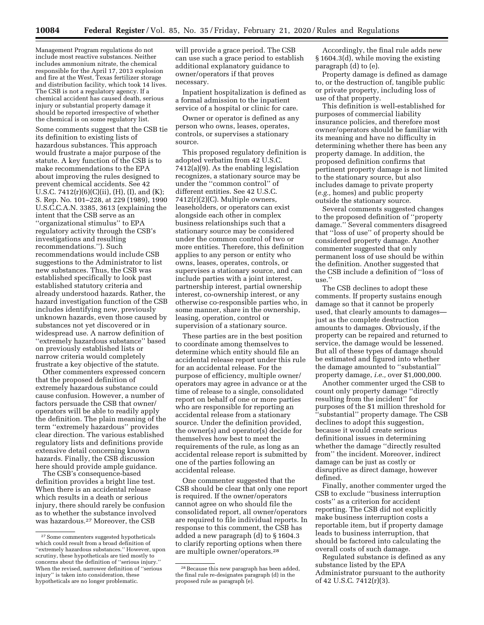Management Program regulations do not include most reactive substances. Neither includes ammonium nitrate, the chemical responsible for the April 17, 2013 explosion and fire at the West, Texas fertilizer storage and distribution facility, which took 14 lives. The CSB is not a regulatory agency. If a chemical accident has caused death, serious injury or substantial property damage it should be reported irrespective of whether the chemical is on some regulatory list.

Some comments suggest that the CSB tie its definition to existing lists of hazardous substances. This approach would frustrate a major purpose of the statute. A key function of the CSB is to make recommendations to the EPA about improving the rules designed to prevent chemical accidents. See 42 U.S.C. 7412(r)(6)(C)(ii), (H), (I), and (K); S. Rep. No. 101–228, at 229 (1989), 1990 U.S.C.C.A.N. 3385, 3613 (explaining the intent that the CSB serve as an ''organizational stimulus'' to EPA regulatory activity through the CSB's investigations and resulting recommendations.''). Such recommendations would include CSB suggestions to the Administrator to list new substances. Thus, the CSB was established specifically to look past established statutory criteria and already understood hazards. Rather, the hazard investigation function of the CSB includes identifying new, previously unknown hazards, even those caused by substances not yet discovered or in widespread use. A narrow definition of ''extremely hazardous substance'' based on previously established lists or narrow criteria would completely frustrate a key objective of the statute.

Other commenters expressed concern that the proposed definition of extremely hazardous substance could cause confusion. However, a number of factors persuade the CSB that owner/ operators will be able to readily apply the definition. The plain meaning of the term ''extremely hazardous'' provides clear direction. The various established regulatory lists and definitions provide extensive detail concerning known hazards. Finally, the CSB discussion here should provide ample guidance.

The CSB's consequence-based definition provides a bright line test. When there is an accidental release which results in a death or serious injury, there should rarely be confusion as to whether the substance involved was hazardous.27 Moreover, the CSB

will provide a grace period. The CSB can use such a grace period to establish additional explanatory guidance to owner/operators if that proves necessary.

Inpatient hospitalization is defined as a formal admission to the inpatient service of a hospital or clinic for care.

Owner or operator is defined as any person who owns, leases, operates, controls, or supervises a stationary source.

This proposed regulatory definition is adopted verbatim from 42 U.S.C. 7412(a)(9). As the enabling legislation recognizes, a stationary source may be under the ''common control'' of different entities. See 42 U.S.C. 7412(r)(2)(C). Multiple owners, leaseholders, or operators can exist alongside each other in complex business relationships such that a stationary source may be considered under the common control of two or more entities. Therefore, this definition applies to any person or entity who owns, leases, operates, controls, or supervises a stationary source, and can include parties with a joint interest, partnership interest, partial ownership interest, co-ownership interest, or any otherwise co-responsible parties who, in some manner, share in the ownership, leasing, operation, control or supervision of a stationary source.

These parties are in the best position to coordinate among themselves to determine which entity should file an accidental release report under this rule for an accidental release. For the purpose of efficiency, multiple owner/ operators may agree in advance or at the time of release to a single, consolidated report on behalf of one or more parties who are responsible for reporting an accidental release from a stationary source. Under the definition provided, the owner(s) and operator(s) decide for themselves how best to meet the requirements of the rule, as long as an accidental release report is submitted by one of the parties following an accidental release.

One commenter suggested that the CSB should be clear that only one report is required. If the owner/operators cannot agree on who should file the consolidated report, all owner/operators are required to file individual reports. In response to this comment, the CSB has added a new paragraph (d) to § 1604.3 to clarify reporting options when there are multiple owner/operators.28

Accordingly, the final rule adds new § 1604.3(d), while moving the existing paragraph (d) to (e).

Property damage is defined as damage to, or the destruction of, tangible public or private property, including loss of use of that property.

This definition is well-established for purposes of commercial liability insurance policies, and therefore most owner/operators should be familiar with its meaning and have no difficulty in determining whether there has been any property damage. In addition, the proposed definition confirms that pertinent property damage is not limited to the stationary source, but also includes damage to private property (*e.g.,* homes) and public property outside the stationary source.

Several comments suggested changes to the proposed definition of ''property damage.'' Several commenters disagreed that ''loss of use'' of property should be considered property damage. Another commenter suggested that only permanent loss of use should be within the definition. Another suggested that the CSB include a definition of ''loss of use.''

The CSB declines to adopt these comments. If property sustains enough damage so that it cannot be properly used, that clearly amounts to damages just as the complete destruction amounts to damages. Obviously, if the property can be repaired and returned to service, the damage would be lessened. But all of these types of damage should be estimated and figured into whether the damage amounted to ''substantial'' property damage, *i.e.,* over \$1,000,000.

Another commenter urged the CSB to count only property damage ''directly resulting from the incident'' for purposes of the \$1 million threshold for ''substantial'' property damage. The CSB declines to adopt this suggestion, because it would create serious definitional issues in determining whether the damage ''directly resulted from'' the incident. Moreover, indirect damage can be just as costly or disruptive as direct damage, however defined.

Finally, another commenter urged the CSB to exclude ''business interruption costs'' as a criterion for accident reporting. The CSB did not explicitly make business interruption costs a reportable item, but if property damage leads to business interruption, that should be factored into calculating the overall costs of such damage.

Regulated substance is defined as any substance listed by the EPA Administrator pursuant to the authority of 42 U.S.C. 7412(r)(3).

<sup>27</sup>Some commenters suggested hypotheticals which could result from a broad definition of ''extremely hazardous substances.'' However, upon scrutiny, these hypotheticals are tied mostly to concerns about the definition of ''serious injury.'' When the revised, narrower definition of ''serious injury'' is taken into consideration, these hypotheticals are no longer problematic.

<sup>&</sup>lt;sup>28</sup> Because this new paragraph has been added, the final rule re-designates paragraph (d) in the proposed rule as paragraph (e).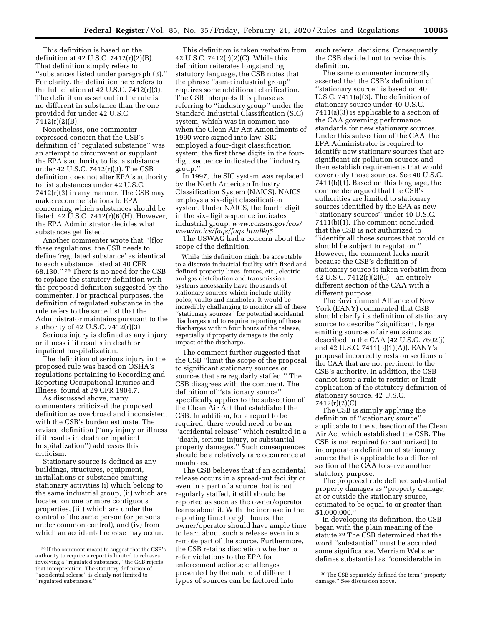This definition is based on the definition at 42 U.S.C. 7412(r)(2)(B). That definition simply refers to ''substances listed under paragraph (3).'' For clarity, the definition here refers to the full citation at  $42$  U.S.C.  $7412(r)(3)$ . The definition as set out in the rule is no different in substance than the one provided for under 42 U.S.C. 7412(r)(2)(B).

Nonetheless, one commenter expressed concern that the CSB's definition of ''regulated substance'' was an attempt to circumvent or supplant the EPA's authority to list a substance under 42 U.S.C. 7412(r)(3). The CSB definition does not alter EPA's authority to list substances under 42 U.S.C. 7412(r)(3) in any manner. The CSB may make recommendations to EPA concerning which substances should be listed. 42  $\overline{U}$ .S.C. 7412 $\left(\frac{r}{6}\right)\left(H\right)$ . However, the EPA Administrator decides what substances get listed.

Another commenter wrote that ''[f]or these regulations, the CSB needs to define 'regulated substance' as identical to each substance listed at 40 CFR 68.130.'' 29 There is no need for the CSB to replace the statutory definition with the proposed definition suggested by the commenter. For practical purposes, the definition of regulated substance in the rule refers to the same list that the Administrator maintains pursuant to the authority of 42 U.S.C. 7412(r)(3).

Serious injury is defined as any injury or illness if it results in death or inpatient hospitalization.

The definition of serious injury in the proposed rule was based on OSHA's regulations pertaining to Recording and Reporting Occupational Injuries and Illness, found at 29 CFR 1904.7.

As discussed above, many commenters criticized the proposed definition as overbroad and inconsistent with the CSB's burden estimate. The revised definition (''any injury or illness if it results in death or inpatient hospitalization'') addresses this criticism.

Stationary source is defined as any buildings, structures, equipment, installations or substance emitting stationary activities (i) which belong to the same industrial group, (ii) which are located on one or more contiguous properties, (iii) which are under the control of the same person (or persons under common control), and (iv) from which an accidental release may occur.

This definition is taken verbatim from 42 U.S.C. 7412(r)(2)(C). While this definition reiterates longstanding statutory language, the CSB notes that the phrase ''same industrial group'' requires some additional clarification. The CSB interprets this phrase as referring to ''industry group'' under the Standard Industrial Classification (SIC) system, which was in common use when the Clean Air Act Amendments of 1990 were signed into law. SIC employed a four-digit classification system; the first three digits in the fourdigit sequence indicated the ''industry group.''

In 1997, the SIC system was replaced by the North American Industry Classification System (NAICS). NAICS employs a six-digit classification system. Under NAICS, the fourth digit in the six-digit sequence indicates industrial group. *www.census.gov/eos/ www/naics/faqs/faqs.html#q5.* 

The USWAG had a concern about the scope of the definition:

While this definition might be acceptable to a discrete industrial facility with fixed and defined property lines, fences, etc., electric and gas distribution and transmission systems necessarily have thousands of stationary sources which include utility poles, vaults and manholes. It would be incredibly challenging to monitor all of these ''stationary sources'' for potential accidental discharges and to require reporting of these discharges within four hours of the release, especially if property damage is the only impact of the discharge.

The comment further suggested that the CSB ''limit the scope of the proposal to significant stationary sources or sources that are regularly staffed.'' The CSB disagrees with the comment. The definition of ''stationary source'' specifically applies to the subsection of the Clean Air Act that established the CSB. In addition, for a report to be required, there would need to be an ''accidental release'' which resulted in a ''death, serious injury, or substantial property damages.'' Such consequences should be a relatively rare occurrence at manholes.

The CSB believes that if an accidental release occurs in a spread-out facility or even in a part of a source that is not regularly staffed, it still should be reported as soon as the owner/operator learns about it. With the increase in the reporting time to eight hours, the owner/operator should have ample time to learn about such a release even in a remote part of the source. Furthermore, the CSB retains discretion whether to refer violations to the EPA for enforcement actions; challenges presented by the nature of different types of sources can be factored into

such referral decisions. Consequently the CSB decided not to revise this definition.

The same commenter incorrectly asserted that the CSB's definition of ''stationary source'' is based on 40 U.S.C. 7411(a)(3). The definition of stationary source under 40 U.S.C. 7411(a)(3) is applicable to a section of the CAA governing performance standards for new stationary sources. Under this subsection of the CAA, the EPA Administrator is required to identify new stationary sources that are significant air pollution sources and then establish requirements that would cover only those sources. See 40 U.S.C. 7411(b)(1). Based on this language, the commenter argued that the CSB's authorities are limited to stationary sources identified by the EPA as new ''stationary sources'' under 40 U.S.C. 7411(b)(1). The comment concluded that the CSB is not authorized to ''identify all those sources that could or should be subject to regulation.'' However, the comment lacks merit because the CSB's definition of stationary source is taken verbatim from 42 U.S.C. 7412(r)(2)(C)—an entirely different section of the CAA with a different purpose.

The Environment Alliance of New York (EANY) commented that CSB should clarify its definition of stationary source to describe ''significant, large emitting sources of air emissions as described in the CAA (42 U.S.C. 7602(j) and 42 U.S.C. 7411(b)(1)(A)). EANY's proposal incorrectly rests on sections of the CAA that are not pertinent to the CSB's authority. In addition, the CSB cannot issue a rule to restrict or limit application of the statutory definition of stationary source. 42 U.S.C. 7412(r)(2)(C).

The CSB is simply applying the definition of ''stationary source'' applicable to the subsection of the Clean Air Act which established the CSB. The CSB is not required (or authorized) to incorporate a definition of stationary source that is applicable to a different section of the CAA to serve another statutory purpose.

The proposed rule defined substantial property damages as ''property damage, at or outside the stationary source, estimated to be equal to or greater than \$1,000,000.''

In developing its definition, the CSB began with the plain meaning of the statute.30 The CSB determined that the word ''substantial'' must be accorded some significance. Merriam Webster defines substantial as ''considerable in

<sup>29</sup> If the comment meant to suggest that the CSB's authority to require a report is limited to releases involving a ''regulated substance,'' the CSB rejects that interpretation. The statutory definition of ''accidental release'' is clearly not limited to ''regulated substances.''

<sup>30</sup>The CSB separately defined the term ''property damage.'' See discussion above.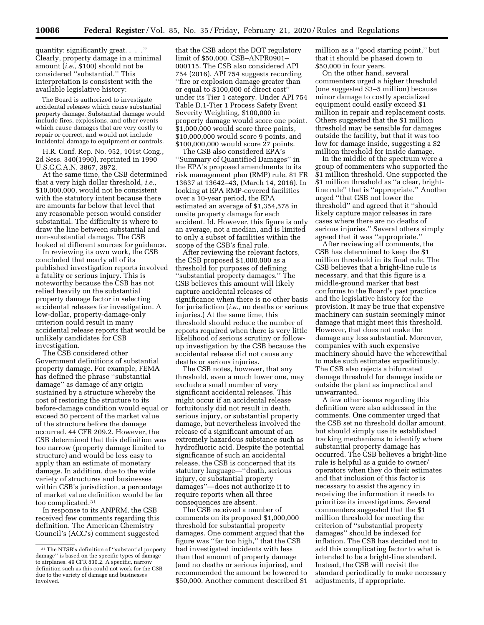quantity: significantly great. . . .'' Clearly, property damage in a minimal amount (*i.e.,* \$100) should not be considered ''substantial.'' This interpretation is consistent with the available legislative history:

The Board is authorized to investigate accidental releases which cause substantial property damage. Substantial damage would include fires, explosions, and other events which cause damages that are very costly to repair or correct, and would not include incidental damage to equipment or controls.

H.R. Conf. Rep. No. 952, 101st Cong., 2d Sess. 340(1990), reprinted in 1990 U.S.C.C.A.N. 3867, 3872.

At the same time, the CSB determined that a very high dollar threshold, *i.e.,*  \$10,000,000, would not be consistent with the statutory intent because there are amounts far below that level that any reasonable person would consider substantial. The difficulty is where to draw the line between substantial and non-substantial damage. The CSB looked at different sources for guidance.

In reviewing its own work, the CSB concluded that nearly all of its published investigation reports involved a fatality or serious injury. This is noteworthy because the CSB has not relied heavily on the substantial property damage factor in selecting accidental releases for investigation. A low-dollar, property-damage-only criterion could result in many accidental release reports that would be unlikely candidates for CSB investigation.

The CSB considered other Government definitions of substantial property damage. For example, FEMA has defined the phrase ''substantial damage'' as damage of any origin sustained by a structure whereby the cost of restoring the structure to its before-damage condition would equal or exceed 50 percent of the market value of the structure before the damage occurred. 44 CFR 209.2. However, the CSB determined that this definition was too narrow (property damage limited to structure) and would be less easy to apply than an estimate of monetary damage. In addition, due to the wide variety of structures and businesses within CSB's jurisdiction, a percentage of market value definition would be far too complicated.31

In response to its ANPRM, the CSB received few comments regarding this definition. The American Chemistry Council's (ACC's) comment suggested

that the CSB adopt the DOT regulatory limit of \$50,000. CSB–ANPR0901– 000115. The CSB also considered API 754 (2016). API 754 suggests recording ''fire or explosion damage greater than or equal to \$100,000 of direct cost'' under its Tier 1 category. Under API 754 Table D.1-Tier 1 Process Safety Event Severity Weighting, \$100,000 in property damage would score one point. \$1,000,000 would score three points, \$10,000,000 would score 9 points, and \$100,000,000 would score 27 points.

The CSB also considered EPA's ''Summary of Quantified Damages'' in the EPA's proposed amendments to its risk management plan (RMP) rule. 81 FR 13637 at 13642–43, (March 14, 2016). In looking at EPA RMP-covered facilities over a 10-year period, the EPA estimated an average of \$1,354,578 in onsite property damage for each accident. Id. However, this figure is only an average, not a median, and is limited to only a subset of facilities within the scope of the CSB's final rule.

After reviewing the relevant factors, the CSB proposed \$1,000,000 as a threshold for purposes of defining ''substantial property damages.'' The CSB believes this amount will likely capture accidental releases of significance when there is no other basis for jurisdiction (*i.e.,* no deaths or serious injuries.) At the same time, this threshold should reduce the number of reports required when there is very little likelihood of serious scrutiny or followup investigation by the CSB because the accidental release did not cause any deaths or serious injuries.

The CSB notes, however, that any threshold, even a much lower one, may exclude a small number of very significant accidental releases. This might occur if an accidental release fortuitously did not result in death, serious injury, or substantial property damage, but nevertheless involved the release of a significant amount of an extremely hazardous substance such as hydrofluoric acid. Despite the potential significance of such an accidental release, the CSB is concerned that its statutory language—''death, serious injury, or substantial property damages''—does not authorize it to require reports when all three consequences are absent.

The CSB received a number of comments on its proposed \$1,000,000 threshold for substantial property damages. One comment argued that the figure was ''far too high,'' that the CSB had investigated incidents with less than that amount of property damage (and no deaths or serious injuries), and recommended the amount be lowered to \$50,000. Another comment described \$1 million as a ''good starting point,'' but that it should be phased down to \$50,000 in four years.

On the other hand, several commenters urged a higher threshold (one suggested \$3–5 million) because minor damage to costly specialized equipment could easily exceed \$1 million in repair and replacement costs. Others suggested that the \$1 million threshold may be sensible for damages outside the facility, but that it was too low for damage inside, suggesting a \$2 million threshold for inside damage.

In the middle of the spectrum were a group of commenters who supported the \$1 million threshold. One supported the \$1 million threshold as ''a clear, brightline rule'' that is ''appropriate.'' Another urged ''that CSB not lower the threshold'' and agreed that it ''should likely capture major releases in rare cases where there are no deaths of serious injuries.'' Several others simply agreed that it was ''appropriate.''

After reviewing all comments, the CSB has determined to keep the \$1 million threshold in its final rule. The CSB believes that a bright-line rule is necessary, and that this figure is a middle-ground marker that best conforms to the Board's past practice and the legislative history for the provision. It may be true that expensive machinery can sustain seemingly minor damage that might meet this threshold. However, that does not make the damage any less substantial. Moreover, companies with such expensive machinery should have the wherewithal to make such estimates expeditiously. The CSB also rejects a bifurcated damage threshold for damage inside or outside the plant as impractical and unwarranted.

A few other issues regarding this definition were also addressed in the comments. One commenter urged that the CSB set no threshold dollar amount, but should simply use its established tracking mechanisms to identify where substantial property damage has occurred. The CSB believes a bright-line rule is helpful as a guide to owner/ operators when they do their estimates and that inclusion of this factor is necessary to assist the agency in receiving the information it needs to prioritize its investigations. Several commenters suggested that the \$1 million threshold for meeting the criterion of ''substantial property damages'' should be indexed for inflation. The CSB has decided not to add this complicating factor to what is intended to be a bright-line standard. Instead, the CSB will revisit the standard periodically to make necessary adjustments, if appropriate.

<sup>31</sup>The NTSB's definition of ''substantial property damage'' is based on the specific types of damage to airplanes. 49 CFR 830.2. A specific, narrow definition such as this could not work for the CSB due to the variety of damage and businesses involved.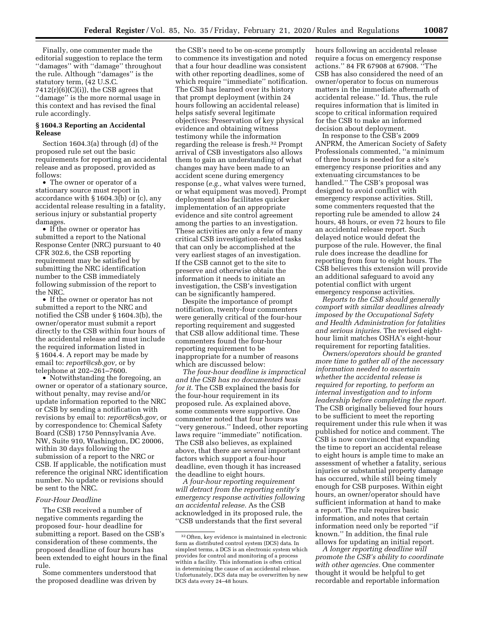Finally, one commenter made the editorial suggestion to replace the term ''damages'' with ''damage'' throughout the rule. Although ''damages'' is the statutory term, (42 U.S.C.  $7412(r)(6)(C)(i)$ , the CSB agrees that ''damage'' is the more normal usage in this context and has revised the final rule accordingly.

# **§ 1604.3 Reporting an Accidental Release**

Section 1604.3(a) through (d) of the proposed rule set out the basic requirements for reporting an accidental release and as proposed, provided as follows:

• The owner or operator of a stationary source must report in accordance with § 1604.3(b) or (c), any accidental release resulting in a fatality, serious injury or substantial property damages.

• If the owner or operator has submitted a report to the National Response Center (NRC) pursuant to 40 CFR 302.6, the CSB reporting requirement may be satisfied by submitting the NRC identification number to the CSB immediately following submission of the report to the NRC.

• If the owner or operator has not submitted a report to the NRC and notified the CSB under § 1604.3(b), the owner/operator must submit a report directly to the CSB within four hours of the accidental release and must include the required information listed in § 1604.4. A report may be made by email to: *report@csb.gov,* or by telephone at 202–261–7600.

• Notwithstanding the foregoing, an owner or operator of a stationary source, without penalty, may revise and/or update information reported to the NRC or CSB by sending a notification with revisions by email to: *report@csb.gov,* or by correspondence to: Chemical Safety Board (CSB) 1750 Pennsylvania Ave. NW, Suite 910, Washington, DC 20006, within 30 days following the submission of a report to the NRC or CSB. If applicable, the notification must reference the original NRC identification number. No update or revisions should be sent to the NRC.

#### *Four-Hour Deadline*

The CSB received a number of negative comments regarding the proposed four- hour deadline for submitting a report. Based on the CSB's consideration of these comments, the proposed deadline of four hours has been extended to eight hours in the final rule.

Some commenters understood that the proposed deadline was driven by

the CSB's need to be on-scene promptly to commence its investigation and noted that a four hour deadline was consistent with other reporting deadlines, some of which require ''immediate'' notification. The CSB has learned over its history that prompt deployment (within 24 hours following an accidental release) helps satisfy several legitimate objectives: Preservation of key physical evidence and obtaining witness testimony while the information regarding the release is fresh.32 Prompt arrival of CSB investigators also allows them to gain an understanding of what changes may have been made to an accident scene during emergency response (*e.g.,* what valves were turned, or what equipment was moved). Prompt deployment also facilitates quicker implementation of an appropriate evidence and site control agreement among the parties to an investigation. These activities are only a few of many critical CSB investigation-related tasks that can only be accomplished at the very earliest stages of an investigation. If the CSB cannot get to the site to preserve and otherwise obtain the information it needs to initiate an investigation, the CSB's investigation can be significantly hampered.

Despite the importance of prompt notification, twenty-four commenters were generally critical of the four-hour reporting requirement and suggested that CSB allow additional time. These commenters found the four-hour reporting requirement to be inappropriate for a number of reasons which are discussed below:

*The four-hour deadline is impractical and the CSB has no documented basis for it.* The CSB explained the basis for the four-hour requirement in its proposed rule. As explained above, some comments were supportive. One commenter noted that four hours was ''very generous.'' Indeed, other reporting laws require ''immediate'' notification. The CSB also believes, as explained above, that there are several important factors which support a four-hour deadline, even though it has increased the deadline to eight hours.

*A four-hour reporting requirement will detract from the reporting entity's emergency response activities following an accidental release.* As the CSB acknowledged in its proposed rule, the ''CSB understands that the first several

hours following an accidental release require a focus on emergency response actions.'' 84 FR 67908 at 67908. ''The CSB has also considered the need of an owner/operator to focus on numerous matters in the immediate aftermath of accidental release.'' Id. Thus, the rule requires information that is limited in scope to critical information required for the CSB to make an informed decision about deployment.

In response to the CSB's 2009 ANPRM, the American Society of Safety Professionals commented, ''a minimum of three hours is needed for a site's emergency response priorities and any extenuating circumstances to be handled.'' The CSB's proposal was designed to avoid conflict with emergency response activities. Still, some commenters requested that the reporting rule be amended to allow 24 hours, 48 hours, or even 72 hours to file an accidental release report. Such delayed notice would defeat the purpose of the rule. However, the final rule does increase the deadline for reporting from four to eight hours. The CSB believes this extension will provide an additional safeguard to avoid any potential conflict with urgent emergency response activities.

*Reports to the CSB should generally comport with similar deadlines already imposed by the Occupational Safety and Health Administration for fatalities and serious injuries.* The revised eighthour limit matches OSHA's eight-hour requirement for reporting fatalities.

*Owners/operators should be granted more time to gather all of the necessary information needed to ascertain whether the accidental release is required for reporting, to perform an internal investigation and to inform leadership before completing the report.*  The CSB originally believed four hours to be sufficient to meet the reporting requirement under this rule when it was published for notice and comment. The CSB is now convinced that expanding the time to report an accidental release to eight hours is ample time to make an assessment of whether a fatality, serious injuries or substantial property damage has occurred, while still being timely enough for CSB purposes. Within eight hours, an owner/operator should have sufficient information at hand to make a report. The rule requires basic information, and notes that certain information need only be reported ''if known.'' In addition, the final rule allows for updating an initial report.

*A longer reporting deadline will promote the CSB's ability to coordinate with other agencies.* One commenter thought it would be helpful to get recordable and reportable information

<sup>32</sup>Often, key evidence is maintained in electronic form as distributed control system (DCS) data. In simplest terms, a DCS is an electronic system which provides for control and monitoring of a process within a facility. This information is often critical in determining the cause of an accidental release. Unfortunately, DCS data may be overwritten by new DCS data every 24–48 hours.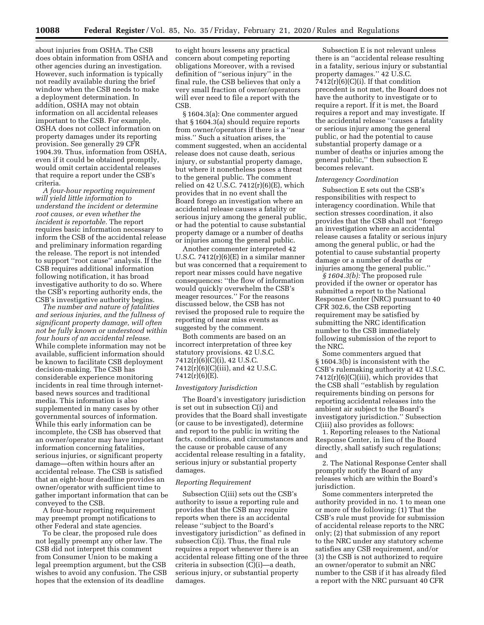about injuries from OSHA. The CSB does obtain information from OSHA and other agencies during an investigation. However, such information is typically not readily available during the brief window when the CSB needs to make a deployment determination. In addition, OSHA may not obtain information on all accidental releases important to the CSB. For example, OSHA does not collect information on property damages under its reporting provision. See generally 29 CFR 1904.39. Thus, information from OSHA, even if it could be obtained promptly, would omit certain accidental releases that require a report under the CSB's criteria.

*A four-hour reporting requirement will yield little information to understand the incident or determine root causes, or even whether the incident is reportable.* The report requires basic information necessary to inform the CSB of the accidental release and preliminary information regarding the release. The report is not intended to support ''root cause'' analysis. If the CSB requires additional information following notification, it has broad investigative authority to do so. Where the CSB's reporting authority ends, the CSB's investigative authority begins.

*The number and nature of fatalities and serious injuries, and the fullness of significant property damage, will often not be fully known or understood within four hours of an accidental release.*  While complete information may not be available, sufficient information should be known to facilitate CSB deployment decision-making. The CSB has considerable experience monitoring incidents in real time through internetbased news sources and traditional media. This information is also supplemented in many cases by other governmental sources of information. While this early information can be incomplete, the CSB has observed that an owner/operator may have important information concerning fatalities, serious injuries, or significant property damage—often within hours after an accidental release. The CSB is satisfied that an eight-hour deadline provides an owner/operator with sufficient time to gather important information that can be conveyed to the CSB.

A four-hour reporting requirement may preempt prompt notifications to other Federal and state agencies.

To be clear, the proposed rule does not legally preempt any other law. The CSB did not interpret this comment from Consumer Union to be making a legal preemption argument, but the CSB wishes to avoid any confusion. The CSB hopes that the extension of its deadline

to eight hours lessens any practical concern about competing reporting obligations Moreover, with a revised definition of ''serious injury'' in the final rule, the CSB believes that only a very small fraction of owner/operators will ever need to file a report with the CSB.

§ 1604.3(a): One commenter argued that § 1604.3(a) should require reports from owner/operators if there is a ''near miss.'' Such a situation arises, the comment suggested, when an accidental release does not cause death, serious injury, or substantial property damage, but where it nonetheless poses a threat to the general public. The comment relied on 42 U.S.C.  $7412(r)(6)(E)$ , which provides that in no event shall the Board forego an investigation where an accidental release causes a fatality or serious injury among the general public, or had the potential to cause substantial property damage or a number of deaths or injuries among the general public.

Another commenter interpreted 42 U.S.C. 7412(r)(6)(E) in a similar manner but was concerned that a requirement to report near misses could have negative consequences: ''the flow of information would quickly overwhelm the CSB's meager resources.'' For the reasons discussed below, the CSB has not revised the proposed rule to require the reporting of near miss events as suggested by the comment.

Both comments are based on an incorrect interpretation of three key statutory provisions. 42 U.S.C. 7412(r)(6)(C)(i), 42 U.S.C. 7412(r)(6)(C)(iii), and 42 U.S.C. 7412(r)(6)(E).

#### *Investigatory Jurisdiction*

The Board's investigatory jurisdiction is set out in subsection C(i) and provides that the Board shall investigate (or cause to be investigated), determine and report to the public in writing the facts, conditions, and circumstances and the cause or probable cause of any accidental release resulting in a fatality, serious injury or substantial property damages.

#### *Reporting Requirement*

Subsection C(iii) sets out the CSB's authority to issue a reporting rule and provides that the CSB may require reports when there is an accidental release ''subject to the Board's investigatory jurisdiction'' as defined in subsection C(i). Thus, the final rule requires a report whenever there is an accidental release fitting one of the three criteria in subsection (C)(i)—a death, serious injury, or substantial property damages.

Subsection E is not relevant unless there is an ''accidental release resulting in a fatality, serious injury or substantial property damages.'' 42 U.S.C.  $7412(r)(6)(C)(i)$ . If that condition precedent is not met, the Board does not have the authority to investigate or to require a report. If it is met, the Board requires a report and may investigate. If the accidental release ''causes a fatality or serious injury among the general public, or had the potential to cause substantial property damage or a number of deaths or injuries among the general public,'' then subsection E becomes relevant.

#### *Interagency Coordination*

Subsection E sets out the CSB's responsibilities with respect to interagency coordination. While that section stresses coordination, it also provides that the CSB shall not ''forego an investigation where an accidental release causes a fatality or serious injury among the general public, or had the potential to cause substantial property damage or a number of deaths or injuries among the general public.''

*§ 1604.3(b):* The proposed rule provided if the owner or operator has submitted a report to the National Response Center (NRC) pursuant to 40 CFR 302.6, the CSB reporting requirement may be satisfied by submitting the NRC identification number to the CSB immediately following submission of the report to the NRC.

Some commenters argued that § 1604.3(b) is inconsistent with the CSB's rulemaking authority at 42 U.S.C. 7412(r)(6)(C)(iii), which provides that the CSB shall ''establish by regulation requirements binding on persons for reporting accidental releases into the ambient air subject to the Board's investigatory jurisdiction.'' Subsection C(iii) also provides as follows:

1. Reporting releases to the National Response Center, in lieu of the Board directly, shall satisfy such regulations; and

2. The National Response Center shall promptly notify the Board of any releases which are within the Board's jurisdiction.

Some commenters interpreted the authority provided in no. 1 to mean one or more of the following: (1) That the CSB's rule must provide for submission of accidental release reports to the NRC only; (2) that submission of any report to the NRC under any statutory scheme satisfies any CSB requirement, and/or (3) the CSB is not authorized to require an owner/operator to submit an NRC number to the CSB if it has already filed a report with the NRC pursuant 40 CFR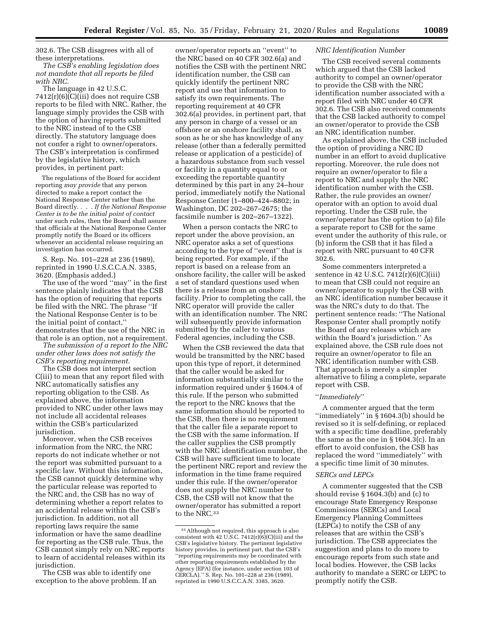302.6. The CSB disagrees with all of these interpretations.

*The CSB's enabling legislation does not mandate that all reports be filed with NRC.* 

The language in 42 U.S.C. 7412(r)(6)(C)(iii) does not require CSB reports to be filed with NRC. Rather, the language simply provides the CSB with the option of having reports submitted to the NRC instead of to the CSB directly. The statutory language does not confer a right to owner/operators. The CSB's interpretation is confirmed by the legislative history, which provides, in pertinent part:

The regulations of the Board for accident reporting *may provide* that any person directed to make a report contact the National Response Center rather than the Board directly. . . . *If the National Response Center is to be the initial point of contact*  under such rules, then the Board shall assure that officials at the National Response Center promptly notify the Board or its officers whenever an accidental release requiring an investigation has occurred.

S. Rep. No. 101–228 at 236 (1989), reprinted in 1990 U.S.C.C.A.N. 3385, 3620. (Emphasis added.)

The use of the word ''may'' in the first sentence plainly indicates that the CSB has the option of requiring that reports be filed with the NRC. The phrase ''If the National Response Center is to be the initial point of contact,'' demonstrates that the use of the NRC in that role is an option, not a requirement.

*The submission of a report to the NRC under other laws does not satisfy the CSB's reporting requirement.* 

The CSB does not interpret section C(iii) to mean that any report filed with NRC automatically satisfies any reporting obligation to the CSB. As explained above, the information provided to NRC under other laws may not include all accidental releases within the CSB's particularized jurisdiction.

Moreover, when the CSB receives information from the NRC, the NRC reports do not indicate whether or not the report was submitted pursuant to a specific law. Without this information, the CSB cannot quickly determine why the particular release was reported to the NRC and, the CSB has no way of determining whether a report relates to an accidental release within the CSB's jurisdiction. In addition, not all reporting laws require the same information or have the same deadline for reporting as the CSB rule. Thus, the CSB cannot simply rely on NRC reports to learn of accidental releases within its jurisdiction.

The CSB was able to identify one exception to the above problem. If an

owner/operator reports an ''event'' to the NRC based on 40 CFR 302.6(a) and notifies the CSB with the pertinent NRC identification number, the CSB can quickly identify the pertinent NRC report and use that information to satisfy its own requirements. The reporting requirement at 40 CFR 302.6(a) provides, in pertinent part, that any person in charge of a vessel or an offshore or an onshore facility shall, as soon as he or she has knowledge of any release (other than a federally permitted release or application of a pesticide) of a hazardous substance from such vessel or facility in a quantity equal to or exceeding the reportable quantity determined by this part in any 24–hour period, immediately notify the National Response Center (1–800–424–8802; in Washington, DC 202–267–2675; the facsimile number is 202–267–1322).

When a person contacts the NRC to report under the above provision, an NRC operator asks a set of questions according to the type of ''event'' that is being reported. For example, if the report is based on a release from an onshore facility, the caller will be asked a set of standard questions used when there is a release from an onshore facility. Prior to completing the call, the NRC operator will provide the caller with an identification number. The NRC will subsequently provide information submitted by the caller to various Federal agencies, including the CSB.

When the CSB reviewed the data that would be transmitted by the NRC based upon this type of report, it determined that the caller would be asked for information substantially similar to the information required under § 1604.4 of this rule. If the person who submitted the report to the NRC knows that the same information should be reported to the CSB, then there is no requirement that the caller file a separate report to the CSB with the same information. If the caller supplies the CSB promptly with the NRC identification number, the CSB will have sufficient time to locate the pertinent NRC report and review the information in the time frame required under this rule. If the owner/operator does not supply the NRC number to CSB, the CSB will not know that the owner/operator has submitted a report to the NRC.<sup>33</sup>

# *NRC Identification Number*

The CSB received several comments which argued that the CSB lacked authority to compel an owner/operator to provide the CSB with the NRC identification number associated with a report filed with NRC under 40 CFR 302.6. The CSB also received comments that the CSB lacked authority to compel an owner/operator to provide the CSB an NRC identification number.

As explained above, the CSB included the option of providing a NRC ID number in an effort to avoid duplicative reporting. Moreover, the rule does not require an owner/operator to file a report to NRC and supply the NRC identification number with the CSB. Rather, the rule provides an owner/ operator with an option to avoid dual reporting. Under the CSB rule, the owner/operator has the option to (a) file a separate report to CSB for the same event under the authority of this rule, or (b) inform the CSB that it has filed a report with NRC pursuant to 40 CFR 302.6.

Some commenters interpreted a sentence in 42 U.S.C. 7412(r)(6)(C)(iii) to mean that CSB could not require an owner/operator to supply the CSB with an NRC identification number because it was the NRC's duty to do that. The pertinent sentence reads: ''The National Response Center shall promptly notify the Board of any releases which are within the Board's jurisdiction.'' As explained above, the CSB rule does not require an owner/operator to file an NRC identification number with CSB. That approach is merely a simpler alternative to filing a complete, separate report with CSB.

#### ''*Immediately*''

A commenter argued that the term ''immediately'' in § 1604.3(b) should be revised so it is self-defining, or replaced with a specific time deadline, preferably the same as the one in § 1604.3(c). In an effort to avoid confusion, the CSB has replaced the word ''immediately'' with a specific time limit of 30 minutes.

## *SERCs and LEPCs*

A commenter suggested that the CSB should revise § 1604.3(b) and (c) to encourage State Emergency Response Commissions (SERCs) and Local Emergency Planning Committees (LEPCs) to notify the CSB of any releases that are within the CSB's jurisdiction. The CSB appreciates the suggestion and plans to do more to encourage reports from such state and local bodies. However, the CSB lacks authority to mandate a SERC or LEPC to promptly notify the CSB.

<sup>33</sup>Although not required, this approach is also consistent with 42 U.S.C.  $7412(r)(6)(c)(iii)$  and the CSB's legislative history. The pertinent legislative history provides, in pertinent part, that the CSB's ''reporting requirements may be coordinated with other reporting requirements established by the Agency [EPA] (for instance, under section 103 of CERCLA).'' S. Rep. No. 101–228 at 236 (1989), reprinted in 1990 U.S.C.C.A.N. 3385, 3620.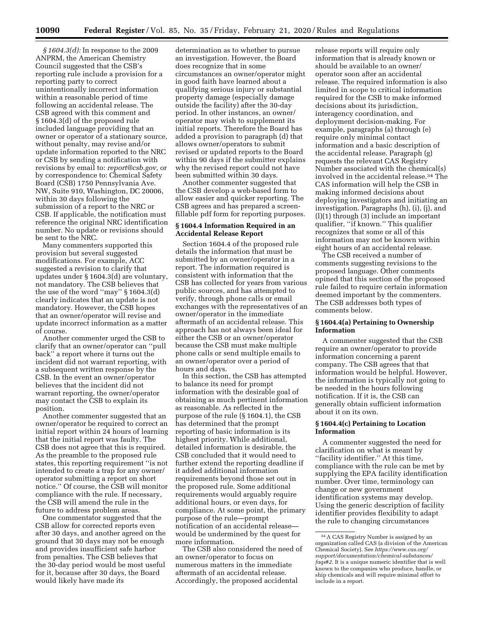*§ 1604.3(d):* In response to the 2009 ANPRM, the American Chemistry Council suggested that the CSB's reporting rule include a provision for a reporting party to correct unintentionally incorrect information within a reasonable period of time following an accidental release. The CSB agreed with this comment and § 1604.3(d) of the proposed rule included language providing that an owner or operator of a stationary source, without penalty, may revise and/or update information reported to the NRC or CSB by sending a notification with revisions by email to: *report@csb.gov,* or by correspondence to: Chemical Safety Board (CSB) 1750 Pennsylvania Ave. NW, Suite 910, Washington, DC 20006, within 30 days following the submission of a report to the NRC or CSB. If applicable, the notification must reference the original NRC identification number. No update or revisions should be sent to the NRC.

Many commenters supported this provision but several suggested modifications. For example, ACC suggested a revision to clarify that updates under § 1604.3(d) are voluntary, not mandatory. The CSB believes that the use of the word ''may'' § 1604.3(d) clearly indicates that an update is not mandatory. However, the CSB hopes that an owner/operator will revise and update incorrect information as a matter of course.

Another commenter urged the CSB to clarify that an owner/operator can ''pull back'' a report where it turns out the incident did not warrant reporting, with a subsequent written response by the CSB. In the event an owner/operator believes that the incident did not warrant reporting, the owner/operator may contact the CSB to explain its position.

Another commenter suggested that an owner/operator be required to correct an initial report within 24 hours of learning that the initial report was faulty. The CSB does not agree that this is required. As the preamble to the proposed rule states, this reporting requirement ''is not intended to create a trap for any owner/ operator submitting a report on short notice.'' Of course, the CSB will monitor compliance with the rule. If necessary, the CSB will amend the rule in the future to address problem areas.

One commentator suggested that the CSB allow for corrected reports even after 30 days, and another agreed on the ground that 30 days may not be enough and provides insufficient safe harbor from penalties. The CSB believes that the 30-day period would be most useful for it, because after 30 days, the Board would likely have made its

determination as to whether to pursue an investigation. However, the Board does recognize that in some circumstances an owner/operator might in good faith have learned about a qualifying serious injury or substantial property damage (especially damage outside the facility) after the 30-day period. In other instances, an owner/ operator may wish to supplement its initial reports. Therefore the Board has added a provision to paragraph (d) that allows owner/operators to submit revised or updated reports to the Board within 90 days if the submitter explains why the revised report could not have been submitted within 30 days.

Another commenter suggested that the CSB develop a web-based form to allow easier and quicker reporting. The CSB agrees and has prepared a screenfillable pdf form for reporting purposes.

# **§ 1604.4 Information Required in an Accidental Release Report**

Section 1604.4 of the proposed rule details the information that must be submitted by an owner/operator in a report. The information required is consistent with information that the CSB has collected for years from various public sources, and has attempted to verify, through phone calls or email exchanges with the representatives of an owner/operator in the immediate aftermath of an accidental release. This approach has not always been ideal for either the CSB or an owner/operator because the CSB must make multiple phone calls or send multiple emails to an owner/operator over a period of hours and days.

In this section, the CSB has attempted to balance its need for prompt information with the desirable goal of obtaining as much pertinent information as reasonable. As reflected in the purpose of the rule (§ 1604.1), the CSB has determined that the prompt reporting of basic information is its highest priority. While additional, detailed information is desirable, the CSB concluded that it would need to further extend the reporting deadline if it added additional information requirements beyond those set out in the proposed rule. Some additional requirements would arguably require additional hours, or even days, for compliance. At some point, the primary purpose of the rule—prompt notification of an accidental release would be undermined by the quest for more information.

The CSB also considered the need of an owner/operator to focus on numerous matters in the immediate aftermath of an accidental release. Accordingly, the proposed accidental

release reports will require only information that is already known or should be available to an owner/ operator soon after an accidental release. The required information is also limited in scope to critical information required for the CSB to make informed decisions about its jurisdiction, interagency coordination, and deployment decision-making. For example, paragraphs (a) through (e) require only minimal contact information and a basic description of the accidental release. Paragraph (g) requests the relevant CAS Registry Number associated with the chemical(s) involved in the accidental release.34 The CAS information will help the CSB in making informed decisions about deploying investigators and initiating an investigation. Paragraphs (h), (i), (j), and (l)(1) through (3) include an important qualifier, ''if known.'' This qualifier recognizes that some or all of this information may not be known within eight hours of an accidental release.

The CSB received a number of comments suggesting revisions to the proposed language. Other comments opined that this section of the proposed rule failed to require certain information deemed important by the commenters. The CSB addresses both types of comments below.

## **§ 1604.4(a) Pertaining to Ownership Information**

A commenter suggested that the CSB require an owner/operator to provide information concerning a parent company. The CSB agrees that that information would be helpful. However, the information is typically not going to be needed in the hours following notification. If it is, the CSB can generally obtain sufficient information about it on its own.

## **§ 1604.4(c) Pertaining to Location Information**

A commenter suggested the need for clarification on what is meant by ''facility identifier.'' At this time, compliance with the rule can be met by supplying the EPA facility identification number. Over time, terminology can change or new government identification systems may develop. Using the generic description of facility identifier provides flexibility to adapt the rule to changing circumstances

<sup>34</sup>A CAS Registry Number is assigned by an organization called CAS (a division of the American Chemical Society). See *https://www.cas.org/ support/documentation/chemical-substances/ faqs#2.* It is a unique numeric identifier that is well known to the companies who produce, handle, or ship chemicals and will require minimal effort to include in a report.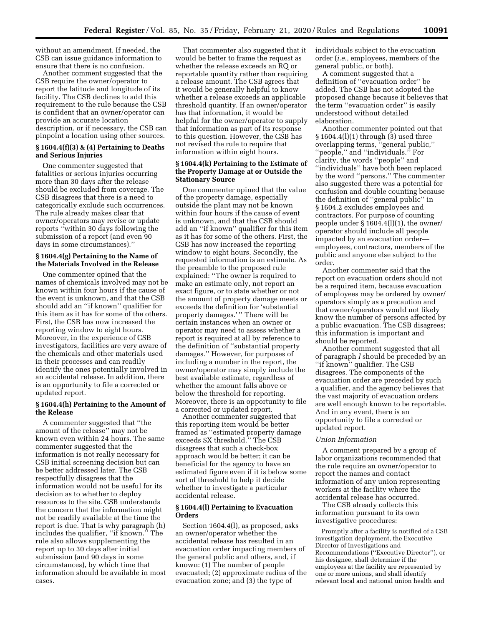without an amendment. If needed, the CSB can issue guidance information to ensure that there is no confusion.

Another comment suggested that the CSB require the owner/operator to report the latitude and longitude of its facility. The CSB declines to add this requirement to the rule because the CSB is confident that an owner/operator can provide an accurate location description, or if necessary, the CSB can pinpoint a location using other sources.

# **§ 1604.4(f)(3) & (4) Pertaining to Deaths and Serious Injuries**

One commenter suggested that fatalities or serious injuries occurring more than 30 days after the release should be excluded from coverage. The CSB disagrees that there is a need to categorically exclude such occurrences. The rule already makes clear that owner/operators may revise or update reports ''within 30 days following the submission of a report (and even 90 days in some circumstances).''

## **§ 1604.4(g) Pertaining to the Name of the Materials Involved in the Release**

One commenter opined that the names of chemicals involved may not be known within four hours if the cause of the event is unknown, and that the CSB should add an ''if known'' qualifier for this item as it has for some of the others. First, the CSB has now increased the reporting window to eight hours. Moreover, in the experience of CSB investigators, facilities are very aware of the chemicals and other materials used in their processes and can readily identify the ones potentially involved in an accidental release. In addition, there is an opportunity to file a corrected or updated report.

# **§ 1604.4(h) Pertaining to the Amount of the Release**

A commenter suggested that ''the amount of the release'' may not be known even within 24 hours. The same commenter suggested that the information is not really necessary for CSB initial screening decision but can be better addressed later. The CSB respectfully disagrees that the information would not be useful for its decision as to whether to deploy resources to the site. CSB understands the concern that the information might not be readily available at the time the report is due. That is why paragraph (h) includes the qualifier, ''if known.'' The rule also allows supplementing the report up to 30 days after initial submission (and 90 days in some circumstances), by which time that information should be available in most cases.

That commenter also suggested that it would be better to frame the request as whether the release exceeds an RQ or reportable quantity rather than requiring a release amount. The CSB agrees that it would be generally helpful to know whether a release exceeds an applicable threshold quantity. If an owner/operator has that information, it would be helpful for the owner/operator to supply that information as part of its response to this question. However, the CSB has not revised the rule to require that information within eight hours.

# **§ 1604.4(k) Pertaining to the Estimate of the Property Damage at or Outside the Stationary Source**

One commenter opined that the value of the property damage, especially outside the plant may not be known within four hours if the cause of event is unknown, and that the CSB should add an ''if known'' qualifier for this item as it has for some of the others. First, the CSB has now increased the reporting window to eight hours. Secondly, the requested information is an estimate. As the preamble to the proposed rule explained: ''The owner is required to make an estimate only, not report an exact figure, or to state whether or not the amount of property damage meets or exceeds the definition for 'substantial property damages.'" There will be certain instances when an owner or operator may need to assess whether a report is required at all by reference to the definition of ''substantial property damages.'' However, for purposes of including a number in the report, the owner/operator may simply include the best available estimate, regardless of whether the amount falls above or below the threshold for reporting. Moreover, there is an opportunity to file a corrected or updated report.

Another commenter suggested that this reporting item would be better framed as ''estimated property damage exceeds \$X threshold.'' The CSB disagrees that such a check-box approach would be better; it can be beneficial for the agency to have an estimated figure even if it is below some sort of threshold to help it decide whether to investigate a particular accidental release.

## **§ 1604.4(l) Pertaining to Evacuation Orders**

Section 1604.4(l), as proposed, asks an owner/operator whether the accidental release has resulted in an evacuation order impacting members of the general public and others, and, if known: (1) The number of people evacuated; (2) approximate radius of the evacuation zone; and (3) the type of

individuals subject to the evacuation order (*i.e.,* employees, members of the general public, or both).

A comment suggested that a definition of ''evacuation order'' be added. The CSB has not adopted the proposed change because it believes that the term ''evacuation order'' is easily understood without detailed elaboration.

Another commenter pointed out that § 1604.4(l)(1) through (3) used three overlapping terms, ''general public,'' ''people,'' and ''individuals.'' For clarity, the words ''people'' and ''individuals'' have both been replaced by the word ''persons.'' The commenter also suggested there was a potential for confusion and double counting because the definition of ''general public'' in § 1604.2 excludes employees and contractors. For purpose of counting people under § 1604.4(l)(1), the owner/ operator should include all people impacted by an evacuation order employees, contractors, members of the public and anyone else subject to the order.

Another commenter said that the report on evacuation orders should not be a required item, because evacuation of employees may be ordered by owner/ operators simply as a precaution and that owner/operators would not likely know the number of persons affected by a public evacuation. The CSB disagrees; this information is important and should be reported.

Another comment suggested that all of paragraph *l* should be preceded by an ''if known'' qualifier. The CSB disagrees. The components of the evacuation order are preceded by such a qualifier, and the agency believes that the vast majority of evacuation orders are well enough known to be reportable. And in any event, there is an opportunity to file a corrected or updated report.

#### *Union Information*

A comment prepared by a group of labor organizations recommended that the rule require an owner/operator to report the names and contact information of any union representing workers at the facility where the accidental release has occurred.

The CSB already collects this information pursuant to its own investigative procedures:

Promptly after a facility is notified of a CSB investigation deployment, the Executive Director of Investigations and Recommendations (''Executive Director''), or his designee, shall determine if the employees at the facility are represented by one or more unions, and shall identify relevant local and national union health and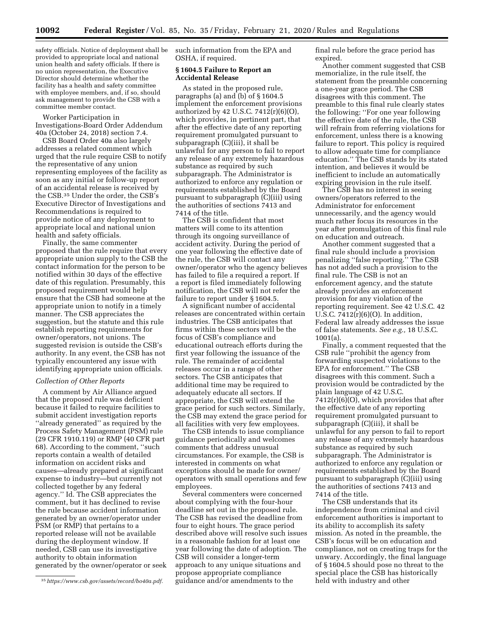safety officials. Notice of deployment shall be provided to appropriate local and national union health and safety officials. If there is no union representation, the Executive Director should determine whether the facility has a health and safety committee with employee members, and, if so, should ask management to provide the CSB with a committee member contact.

Worker Participation in Investigations-Board Order Addendum 40a (October 24, 2018) section 7.4.

CSB Board Order 40a also largely addresses a related comment which urged that the rule require CSB to notify the representative of any union representing employees of the facility as soon as any initial or follow-up report of an accidental release is received by the CSB.35 Under the order, the CSB's Executive Director of Investigations and Recommendations is required to provide notice of any deployment to appropriate local and national union health and safety officials.

Finally, the same commenter proposed that the rule require that every appropriate union supply to the CSB the contact information for the person to be notified within 30 days of the effective date of this regulation. Presumably, this proposed requirement would help ensure that the CSB had someone at the appropriate union to notify in a timely manner. The CSB appreciates the suggestion, but the statute and this rule establish reporting requirements for owner/operators, not unions. The suggested revision is outside the CSB's authority. In any event, the CSB has not typically encountered any issue with identifying appropriate union officials.

## *Collection of Other Reports*

A comment by Air Alliance argued that the proposed rule was deficient because it failed to require facilities to submit accident investigation reports ''already generated'' as required by the Process Safety Management (PSM) rule (29 CFR 1910.119) or RMP (40 CFR part 68). According to the comment, ''such reports contain a wealth of detailed information on accident risks and causes—already prepared at significant expense to industry—but currently not collected together by any federal agency.'' Id. The CSB appreciates the comment, but it has declined to revise the rule because accident information generated by an owner/operator under PSM (or RMP) that pertains to a reported release will not be available during the deployment window. If needed, CSB can use its investigative authority to obtain information generated by the owner/operator or seek such information from the EPA and OSHA, if required.

# **§ 1604.5 Failure to Report an Accidental Release**

As stated in the proposed rule, paragraphs (a) and (b) of § 1604.5 implement the enforcement provisions authorized by 42 U.S.C. 7412(r)(6)(O), which provides, in pertinent part, that after the effective date of any reporting requirement promulgated pursuant to subparagraph (C)(iii), it shall be unlawful for any person to fail to report any release of any extremely hazardous substance as required by such subparagraph. The Administrator is authorized to enforce any regulation or requirements established by the Board pursuant to subparagraph (C)(iii) using the authorities of sections 7413 and 7414 of the title.

The CSB is confident that most matters will come to its attention through its ongoing surveillance of accident activity. During the period of one year following the effective date of the rule, the CSB will contact any owner/operator who the agency believes has failed to file a required a report. If a report is filed immediately following notification, the CSB will not refer the failure to report under § 1604.5.

A significant number of accidental releases are concentrated within certain industries. The CSB anticipates that firms within these sectors will be the focus of CSB's compliance and educational outreach efforts during the first year following the issuance of the rule. The remainder of accidental releases occur in a range of other sectors. The CSB anticipates that additional time may be required to adequately educate all sectors. If appropriate, the CSB will extend the grace period for such sectors. Similarly, the CSB may extend the grace period for all facilities with very few employees.

The CSB intends to issue compliance guidance periodically and welcomes comments that address unusual circumstances. For example, the CSB is interested in comments on what exceptions should be made for owner/ operators with small operations and few employees.

Several commenters were concerned about complying with the four-hour deadline set out in the proposed rule. The CSB has revised the deadline from four to eight hours. The grace period described above will resolve such issues in a reasonable fashion for at least one year following the date of adoption. The CSB will consider a longer-term approach to any unique situations and propose appropriate compliance guidance and/or amendments to the

final rule before the grace period has expired.

Another comment suggested that CSB memorialize, in the rule itself, the statement from the preamble concerning a one-year grace period. The CSB disagrees with this comment. The preamble to this final rule clearly states the following: ''For one year following the effective date of the rule, the CSB will refrain from referring violations for enforcement, unless there is a knowing failure to report. This policy is required to allow adequate time for compliance education.'' The CSB stands by its stated intention, and believes it would be inefficient to include an automatically expiring provision in the rule itself.

The CSB has no interest in seeing owners/operators referred to the Administrator for enforcement unnecessarily, and the agency would much rather focus its resources in the year after promulgation of this final rule on education and outreach.

Another comment suggested that a final rule should include a provision penalizing ''false reporting.'' The CSB has not added such a provision to the final rule. The CSB is not an enforcement agency, and the statute already provides an enforcement provision for any violation of the reporting requirement. See 42 U.S.C. 42 U.S.C. 7412(r)(6)(O). In addition, Federal law already addresses the issue of false statements. *See e.g.,* 18 U.S.C. 1001(a).

Finally, a comment requested that the CSB rule ''prohibit the agency from forwarding suspected violations to the EPA for enforcement.'' The CSB disagrees with this comment. Such a provision would be contradicted by the plain language of 42 U.S.C. 7412(r)(6)(O), which provides that after the effective date of any reporting requirement promulgated pursuant to subparagraph (C)(iii), it shall be unlawful for any person to fail to report any release of any extremely hazardous substance as required by such subparagraph. The Administrator is authorized to enforce any regulation or requirements established by the Board pursuant to subparagraph (C)(iii) using the authorities of sections 7413 and 7414 of the title.

The CSB understands that its independence from criminal and civil enforcement authorities is important to its ability to accomplish its safety mission. As noted in the preamble, the CSB's focus will be on education and compliance, not on creating traps for the unwary. Accordingly, the final language of § 1604.5 should pose no threat to the special place the CSB has historically held with industry and other

<sup>35</sup>*https://www.csb.gov/assets/record/bo40a.pdf.*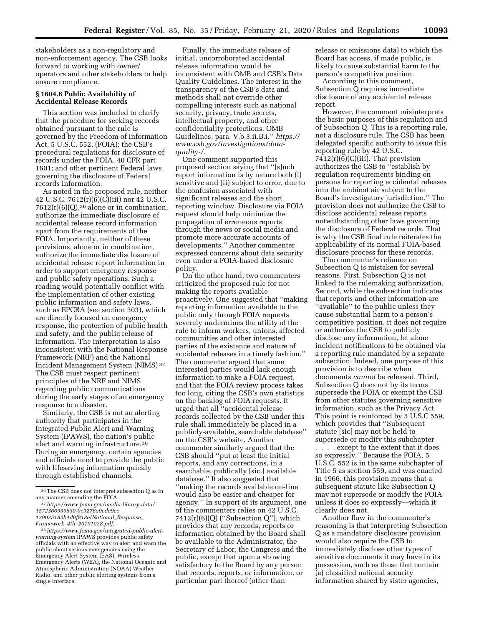stakeholders as a non-regulatory and non-enforcement agency. The CSB looks forward to working with owner/ operators and other stakeholders to help ensure compliance.

# **§ 1604.6 Public Availability of Accidental Release Records**

This section was included to clarify that the procedure for seeking records obtained pursuant to the rule is governed by the Freedom of Information Act, 5 U.S.C. 552, (FOIA); the CSB's procedural regulations for disclosure of records under the FOIA, 40 CFR part 1601; and other pertinent Federal laws governing the disclosure of Federal records information.

As noted in the proposed rule, neither 42 U.S.C. 7612(r)(6)(C)(iii) nor 42 U.S.C.  $7612(r)(6)(Q),$ <sup>36</sup> alone or in combination, authorize the immediate disclosure of accidental release record information apart from the requirements of the FOIA. Importantly, neither of these provisions, alone or in combination, authorize the immediate disclosure of accidental release report information in order to support emergency response and public safety operations. Such a reading would potentially conflict with the implementation of other existing public information and safety laws, such as EPCRA (see section 303), which are directly focused on emergency response, the protection of public health and safety, and the public release of information. The interpretation is also inconsistent with the National Response Framework (NRF) and the National Incident Management System (NIMS) 37 The CSB must respect pertinent principles of the NRF and NIMS regarding public communications during the early stages of an emergency response to a disaster.

Similarly, the CSB is not an alerting authority that participates in the Integrated Public Alert and Warning System (IPAWS), the nation's public alert and warning infrastructure.38 During an emergency, certain agencies and officials need to provide the public with lifesaving information quickly through established channels.

Finally, the immediate release of initial, uncorroborated accidental release information would be inconsistent with OMB and CSB's Data Quality Guidelines. The interest in the transparency of the CSB's data and methods shall not override other compelling interests such as national security, privacy, trade secrets, intellectual property, and other confidentiality protections. OMB Guidelines, para. V.b.3.ii.B.i.'' *https:// www.csb.gov/investigations/dataquality-/*.

One comment supported this proposed section saying that ''[s]uch report information is by nature both (i) sensitive and (ii) subject to error, due to the confusion associated with significant releases and the short reporting window. Disclosure via FOIA request should help minimize the propagation of erroneous reports through the news or social media and promote more accurate accounts of developments.'' Another commenter expressed concerns about data security even under a FOIA-based disclosure policy.

On the other hand, two commenters criticized the proposed rule for not making the reports available proactively. One suggested that ''making reporting information available to the public only through FOIA requests severely undermines the utility of the rule to inform workers, unions, affected communities and other interested parties of the existence and nature of accidental releases in a timely fashion.'' The commenter argued that some interested parties would lack enough information to make a FOIA request, and that the FOIA review process takes too long, citing the CSB's own statistics on the backlog of FOIA requests. It urged that all ''accidental release records collected by the CSB under this rule shall immediately be placed in a publicly-available, searchable database'' on the CSB's website. Another commenter similarly argued that the CSB should ''put at least the initial reports, and any corrections, in a searchable, publically [sic.] available database.'' It also suggested that ''making the records available on-line would also be easier and cheaper for agency.'' In support of its argument, one of the commenters relies on 42 U.S.C.  $7412(r)(6)(Q)$  ("Subsection Q"), which provides that any records, reports or information obtained by the Board shall be available to the Administrator, the Secretary of Labor, the Congress and the public, except that upon a showing satisfactory to the Board by any person that records, reports, or information, or particular part thereof (other than

release or emissions data) to which the Board has access, if made public, is likely to cause substantial harm to the person's competitive position.

According to this comment, Subsection Q requires immediate disclosure of any accidental release report.

However, the comment misinterprets the basic purposes of this regulation and of Subsection Q. This is a reporting rule, not a disclosure rule. The CSB has been delegated specific authority to issue this reporting rule by 42 U.S.C. 7412(r)(6)(C)(iii). That provision authorizes the CSB to ''establish by regulation requirements binding on persons for reporting accidental releases into the ambient air subject to the Board's investigatory jurisdiction.'' The provision does not authorize the CSB to disclose accidental release reports notwithstanding other laws governing the disclosure of Federal records. That is why the CSB final rule reiterates the applicability of its normal FOIA-based disclosure process for these records.

The commenter's reliance on Subsection Q is mistaken for several reasons. First, Subsection Q is not linked to the rulemaking authorization. Second, while the subsection indicates that reports and other information are ''available'' to the public unless they cause substantial harm to a person's competitive position, it does not require or authorize the CSB to publicly disclose any information, let alone incident notifications to be obtained via a reporting rule mandated by a separate subsection. Indeed, one purpose of this provision is to describe when documents *cannot* be released. Third, Subsection Q does not by its terms supersede the FOIA or exempt the CSB from other statutes governing sensitive information, such as the Privacy Act. This point is reinforced by 5 U.S.C 559, which provides that ''Subsequent statute [sic] may not be held to supersede or modify this subchapter . . . . except to the extent that it does so expressly.'' Because the FOIA, 5 U.S.C. 552 is in the same subchapter of Title 5 as section 559, and was enacted in 1966, this provision means that a subsequent statute like Subsection Q may not supersede or modify the FOIA unless it does so expressly—which it clearly does not.

Another flaw in the commenter's reasoning is that interpreting Subsection Q as a mandatory disclosure provision would also require the CSB to immediately disclose other types of sensitive documents it may have in its possession, such as those that contain (a) classified national security information shared by sister agencies,

<sup>36</sup>The CSB does not interpret subsection Q as in any manner amending the FOIA.

<sup>37</sup>*https://www.fema.gov/media-library-data/ 1572366339630-0e9278a0ede9ee 129025182b4d0f818e/National*\_*Response*\_

*Framework*\_*4th*\_*20191028.pdf*.

<sup>38</sup>*https://www.fema.gov/integrated-public-alertwarning-system* IPAWS provides public safety officials with an effective way to alert and warn the public about serious emergencies using the Emergency Alert System (EAS), Wireless Emergency Alerts (WEA), the National Oceanic and Atmospheric Administration (NOAA) Weather Radio, and other public alerting systems from a single interface.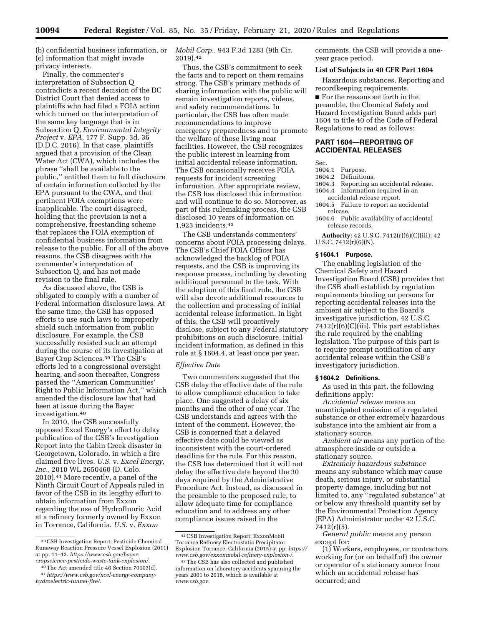(b) confidential business information, or (c) information that might invade privacy interests.

Finally, the commenter's interpretation of Subsection Q contradicts a recent decision of the DC District Court that denied access to plaintiffs who had filed a FOIA action which turned on the interpretation of the same key language that is in Subsection Q, *Environmental Integrity Project* v. *EPA,* 177 F. Supp. 3d. 36 (D.D.C. 2016). In that case, plaintiffs argued that a provision of the Clean Water Act (CWA), which includes the phrase ''shall be available to the public,'' entitled them to full disclosure of certain information collected by the EPA pursuant to the CWA, and that pertinent FOIA exemptions were inapplicable. The court disagreed, holding that the provision is not a comprehensive, freestanding scheme that replaces the FOIA exemption of confidential business information from release to the public. For all of the above reasons, the CSB disagrees with the commenter's interpretation of Subsection Q, and has not made revision to the final rule.

As discussed above, the CSB is obligated to comply with a number of Federal information disclosure laws. At the same time, the CSB has opposed efforts to use such laws to improperly shield such information from public disclosure. For example, the CSB successfully resisted such an attempt during the course of its investigation at Bayer Crop Sciences.39 The CSB's efforts led to a congressional oversight hearing, and soon thereafter, Congress passed the ''American Communities' Right to Public Information Act,'' which amended the disclosure law that had been at issue during the Bayer investigation.40

In 2010, the CSB successfully opposed Excel Energy's effort to delay publication of the CSB's Investigation Report into the Cabin Creek disaster in Georgetown, Colorado, in which a fire claimed five lives. *U.S.* v. *Excel Energy, Inc.,* 2010 WL 2650460 (D. Colo. 2010).41 More recently, a panel of the Ninth Circuit Court of Appeals ruled in favor of the CSB in its lengthy effort to obtain information from Exxon regarding the use of Hydrofluoric Acid at a refinery formerly owned by Exxon in Torrance, California. *U.S.* v. *Exxon* 

*Mobil Corp.,* 943 F.3d 1283 (9th Cir. 2019).42

Thus, the CSB's commitment to seek the facts and to report on them remains strong. The CSB's primary methods of sharing information with the public will remain investigation reports, videos, and safety recommendations. In particular, the CSB has often made recommendations to improve emergency preparedness and to promote the welfare of those living near facilities. However, the CSB recognizes the public interest in learning from initial accidental release information. The CSB occasionally receives FOIA requests for incident screening information. After appropriate review, the CSB has disclosed this information and will continue to do so. Moreover, as part of this rulemaking process, the CSB disclosed 10 years of information on 1,923 incidents.43

The CSB understands commenters' concerns about FOIA processing delays. The CSB's Chief FOIA Officer has acknowledged the backlog of FOIA requests, and the CSB is improving its response process, including by devoting additional personnel to the task. With the adoption of this final rule, the CSB will also devote additional resources to the collection and processing of initial accidental release information. In light of this, the CSB will proactively disclose, subject to any Federal statutory prohibitions on such disclosure, initial incident information, as defined in this rule at § 1604.4, at least once per year.

#### *Effective Date*

Two commenters suggested that the CSB delay the effective date of the rule to allow compliance education to take place. One suggested a delay of six months and the other of one year. The CSB understands and agrees with the intent of the comment. However, the CSB is concerned that a delayed effective date could be viewed as inconsistent with the court-ordered deadline for the rule. For this reason, the CSB has determined that it will not delay the effective date beyond the 30 days required by the Administrative Procedure Act. Instead, as discussed in the preamble to the proposed rule, to allow adequate time for compliance education and to address any other compliance issues raised in the

comments, the CSB will provide a oneyear grace period.

## **List of Subjects in 40 CFR Part 1604**

Hazardous substances, Reporting and recordkeeping requirements.

■ For the reasons set forth in the preamble, the Chemical Safety and Hazard Investigation Board adds part 1604 to title 40 of the Code of Federal Regulations to read as follows:

# **PART 1604—REPORTING OF ACCIDENTAL RELEASES**

Sec.

- 1604.1 Purpose.
- Definitions.
- 1604.3 Reporting an accidental release.
- 1604.4 Information required in an accidental release report.
- 1604.5 Failure to report an accidental release.
- 1604.6 Public availability of accidental release records.

**Authority:** 42 U.S.C. 7412(r)(6)(C)(iii); 42 U.S.C.  $7412(r)(6)(N)$ .

## **§ 1604.1 Purpose.**

The enabling legislation of the Chemical Safety and Hazard Investigation Board (CSB) provides that the CSB shall establish by regulation requirements binding on persons for reporting accidental releases into the ambient air subject to the Board's investigative jurisdiction. 42 U.S.C. 7412(r)(6)(C)(iii). This part establishes the rule required by the enabling legislation. The purpose of this part is to require prompt notification of any accidental release within the CSB's investigatory jurisdiction.

# **§ 1604.2 Definitions.**

As used in this part, the following definitions apply:

*Accidental release* means an unanticipated emission of a regulated substance or other extremely hazardous substance into the ambient air from a stationary source.

*Ambient air* means any portion of the atmosphere inside or outside a stationary source.

*Extremely hazardous substance*  means any substance which may cause death, serious injury, or substantial property damage, including but not limited to, any ''regulated substance'' at or below any threshold quantity set by the Environmental Protection Agency (EPA) Administrator under 42 U.S.C. 7412(r)(5).

*General public* means any person except for:

(1) Workers, employees, or contractors working for (or on behalf of) the owner or operator of a stationary source from which an accidental release has occurred; and

<sup>39</sup>CSB Investigation Report: Pesticide Chemical Runaway Reaction Pressure Vessel Explosion (2011) at pp. 11–13. *https://www.csb.gov/bayercropscience-pesticide-waste-tank-explosion/.* 

<sup>40</sup>The Act amended title 46 Section 70103(d).

<sup>41</sup>*https://www.csb.gov/xcel-energy-companyhydroelectric-tunnel-fire/.* 

<sup>42</sup>CSB Investigation Report: ExxonMobil Torrance Refinery Electrostatic Precipitator Explosion Torrance, California (2015) at pp. *https:// www.csb.gov/exxonmobil-refinery-explosion-/*.

<sup>43</sup>The CSB has also collected and published information on laboratory accidents spanning the years 2001 to 2018, which is available at *www.csb.gov.*